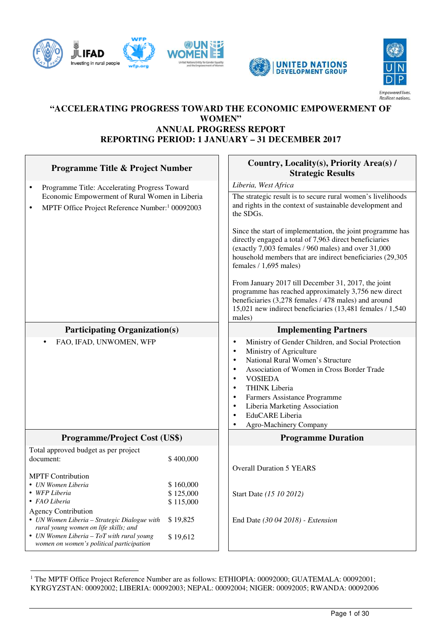





## **"ACCELERATING PROGRESS TOWARD THE ECONOMIC EMPOWERMENT OF WOMEN" ANNUAL PROGRESS REPORT REPORTING PERIOD: 1 JANUARY – 31 DECEMBER 2017**

| Programme Title & Project Number                                                                                                                                                                               |                      | Country, Locality(s), Priority Area(s) /<br><b>Strategic Results</b>                                                                                                                                                                                                                                                                                                                                                                         |  |  |
|----------------------------------------------------------------------------------------------------------------------------------------------------------------------------------------------------------------|----------------------|----------------------------------------------------------------------------------------------------------------------------------------------------------------------------------------------------------------------------------------------------------------------------------------------------------------------------------------------------------------------------------------------------------------------------------------------|--|--|
| Programme Title: Accelerating Progress Toward<br>٠                                                                                                                                                             |                      | Liberia, West Africa                                                                                                                                                                                                                                                                                                                                                                                                                         |  |  |
| Economic Empowerment of Rural Women in Liberia<br>MPTF Office Project Reference Number: <sup>1</sup> 00092003<br>$\bullet$                                                                                     |                      | The strategic result is to secure rural women's livelihoods<br>and rights in the context of sustainable development and<br>the SDGs.                                                                                                                                                                                                                                                                                                         |  |  |
|                                                                                                                                                                                                                |                      | Since the start of implementation, the joint programme has<br>directly engaged a total of 7,963 direct beneficiaries<br>(exactly 7,003 females / 960 males) and over 31,000<br>household members that are indirect beneficiaries (29,305<br>females $/ 1,695$ males)                                                                                                                                                                         |  |  |
|                                                                                                                                                                                                                |                      | From January 2017 till December 31, 2017, the joint<br>programme has reached approximately 3,756 new direct<br>beneficiaries (3,278 females / 478 males) and around<br>15,021 new indirect beneficiaries (13,481 females / 1,540<br>males)                                                                                                                                                                                                   |  |  |
| <b>Participating Organization(s)</b>                                                                                                                                                                           |                      | <b>Implementing Partners</b>                                                                                                                                                                                                                                                                                                                                                                                                                 |  |  |
| FAO, IFAD, UNWOMEN, WFP                                                                                                                                                                                        |                      | Ministry of Gender Children, and Social Protection<br>$\bullet$<br>Ministry of Agriculture<br>$\bullet$<br>National Rural Women's Structure<br>$\bullet$<br>Association of Women in Cross Border Trade<br>$\bullet$<br><b>VOSIEDA</b><br>$\bullet$<br><b>THINK Liberia</b><br>$\bullet$<br>Farmers Assistance Programme<br>$\bullet$<br>Liberia Marketing Association<br>$\bullet$<br>EduCARE Liberia<br>$\bullet$<br>Agro-Machinery Company |  |  |
| <b>Programme/Project Cost (US\$)</b>                                                                                                                                                                           |                      | <b>Programme Duration</b>                                                                                                                                                                                                                                                                                                                                                                                                                    |  |  |
| Total approved budget as per project                                                                                                                                                                           |                      |                                                                                                                                                                                                                                                                                                                                                                                                                                              |  |  |
| document:                                                                                                                                                                                                      | \$400,000            | <b>Overall Duration 5 YEARS</b>                                                                                                                                                                                                                                                                                                                                                                                                              |  |  |
| <b>MPTF</b> Contribution                                                                                                                                                                                       |                      |                                                                                                                                                                                                                                                                                                                                                                                                                                              |  |  |
| • UN Women Liberia                                                                                                                                                                                             | \$160,000            |                                                                                                                                                                                                                                                                                                                                                                                                                                              |  |  |
| \$125,000<br>WFP Liberia<br>• FAO Liberia                                                                                                                                                                      |                      | Start Date (15 10 2012)                                                                                                                                                                                                                                                                                                                                                                                                                      |  |  |
|                                                                                                                                                                                                                | \$115,000            |                                                                                                                                                                                                                                                                                                                                                                                                                                              |  |  |
| <b>Agency Contribution</b><br>• UN Women Liberia - Strategic Dialogue with<br>rural young women on life skills; and<br>• UN Women Liberia $-$ ToT with rural young<br>women on women's political participation | \$19,825<br>\$19,612 | End Date (30 04 2018) - Extension                                                                                                                                                                                                                                                                                                                                                                                                            |  |  |
|                                                                                                                                                                                                                |                      |                                                                                                                                                                                                                                                                                                                                                                                                                                              |  |  |

 $\overline{a}$ <sup>1</sup> The MPTF Office Project Reference Number are as follows: ETHIOPIA: 00092000; GUATEMALA: 00092001; KYRGYZSTAN: 00092002; LIBERIA: 00092003; NEPAL: 00092004; NIGER: 00092005; RWANDA: 00092006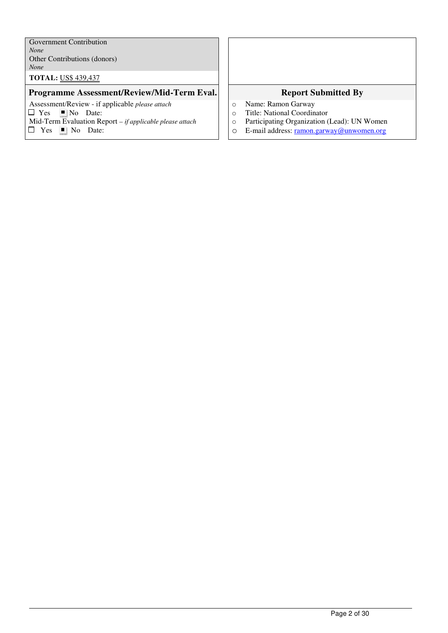Government Contribution *None* Other Contributions (donors) *None* 

**TOTAL:** US\$ 439,437

#### **Programme Assessment/Review/Mid-Term Eval. Report Submitted By**

Assessment/Review - if applicable *please attach*   $\Box$  Yes  $\Box$  No Date: Mid-Term Evaluation Report *– if applicable please attach*

 $\Box$  Yes  $\Box$  No Date:

- o Name: Ramon Garway
- o Title: National Coordinator
- o Participating Organization (Lead): UN Women
- o E-mail address: ramon.garway@unwomen.org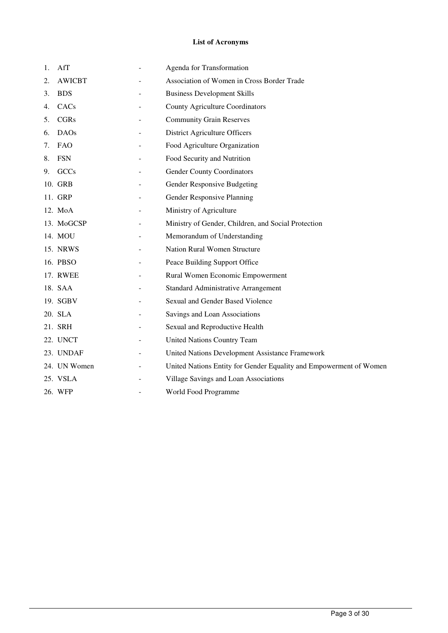#### **List of Acronyms**

| 1. | AfT              | Agenda for Transformation                                          |
|----|------------------|--------------------------------------------------------------------|
| 2. | <b>AWICBT</b>    | Association of Women in Cross Border Trade                         |
| 3. | <b>BDS</b>       | <b>Business Development Skills</b>                                 |
| 4. | CAC <sub>s</sub> | <b>County Agriculture Coordinators</b>                             |
| 5. | <b>CGRs</b>      | <b>Community Grain Reserves</b>                                    |
| 6. | <b>DAOs</b>      | District Agriculture Officers                                      |
| 7. | <b>FAO</b>       | Food Agriculture Organization                                      |
| 8. | <b>FSN</b>       | Food Security and Nutrition                                        |
| 9. | GCCs             | <b>Gender County Coordinators</b>                                  |
|    | 10. GRB          | Gender Responsive Budgeting                                        |
|    | 11. GRP          | Gender Responsive Planning                                         |
|    | 12. MoA          | Ministry of Agriculture                                            |
|    | 13. MoGCSP       | Ministry of Gender, Children, and Social Protection                |
|    | 14. MOU          | Memorandum of Understanding                                        |
|    | 15. NRWS         | Nation Rural Women Structure                                       |
|    | 16. PBSO         | Peace Building Support Office                                      |
|    | 17. RWEE         | Rural Women Economic Empowerment                                   |
|    | 18. SAA          | Standard Administrative Arrangement                                |
|    | 19. SGBV         | Sexual and Gender Based Violence                                   |
|    | 20. SLA          | Savings and Loan Associations                                      |
|    | 21. SRH          | Sexual and Reproductive Health                                     |
|    | 22. UNCT         | United Nations Country Team                                        |
|    | 23. UNDAF        | United Nations Development Assistance Framework                    |
|    | 24. UN Women     | United Nations Entity for Gender Equality and Empowerment of Women |
|    | 25. VSLA         | Village Savings and Loan Associations                              |
|    | 26. WFP          | World Food Programme                                               |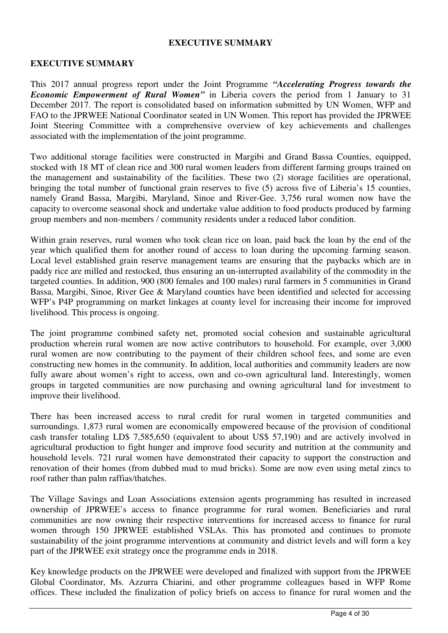#### **EXECUTIVE SUMMARY**

#### **EXECUTIVE SUMMARY**

This 2017 annual progress report under the Joint Programme *"Accelerating Progress towards the Economic Empowerment of Rural Women"* in Liberia covers the period from 1 January to 31 December 2017. The report is consolidated based on information submitted by UN Women, WFP and FAO to the JPRWEE National Coordinator seated in UN Women. This report has provided the JPRWEE Joint Steering Committee with a comprehensive overview of key achievements and challenges associated with the implementation of the joint programme.

Two additional storage facilities were constructed in Margibi and Grand Bassa Counties, equipped, stocked with 18 MT of clean rice and 300 rural women leaders from different farming groups trained on the management and sustainability of the facilities. These two (2) storage facilities are operational, bringing the total number of functional grain reserves to five (5) across five of Liberia's 15 counties, namely Grand Bassa, Margibi, Maryland, Sinoe and River-Gee. 3,756 rural women now have the capacity to overcome seasonal shock and undertake value addition to food products produced by farming group members and non-members / community residents under a reduced labor condition.

Within grain reserves, rural women who took clean rice on loan, paid back the loan by the end of the year which qualified them for another round of access to loan during the upcoming farming season. Local level established grain reserve management teams are ensuring that the paybacks which are in paddy rice are milled and restocked, thus ensuring an un-interrupted availability of the commodity in the targeted counties. In addition, 900 (800 females and 100 males) rural farmers in 5 communities in Grand Bassa, Margibi, Sinoe, River Gee & Maryland counties have been identified and selected for accessing WFP's P4P programming on market linkages at county level for increasing their income for improved livelihood. This process is ongoing.

The joint programme combined safety net, promoted social cohesion and sustainable agricultural production wherein rural women are now active contributors to household. For example, over 3,000 rural women are now contributing to the payment of their children school fees, and some are even constructing new homes in the community. In addition, local authorities and community leaders are now fully aware about women's right to access, own and co-own agricultural land. Interestingly, women groups in targeted communities are now purchasing and owning agricultural land for investment to improve their livelihood.

There has been increased access to rural credit for rural women in targeted communities and surroundings. 1,873 rural women are economically empowered because of the provision of conditional cash transfer totaling LD\$ 7,585,650 (equivalent to about US\$ 57,190) and are actively involved in agricultural production to fight hunger and improve food security and nutrition at the community and household levels. 721 rural women have demonstrated their capacity to support the construction and renovation of their homes (from dubbed mud to mud bricks). Some are now even using metal zincs to roof rather than palm raffias/thatches.

The Village Savings and Loan Associations extension agents programming has resulted in increased ownership of JPRWEE's access to finance programme for rural women. Beneficiaries and rural communities are now owning their respective interventions for increased access to finance for rural women through 150 JPRWEE established VSLAs. This has promoted and continues to promote sustainability of the joint programme interventions at community and district levels and will form a key part of the JPRWEE exit strategy once the programme ends in 2018.

Key knowledge products on the JPRWEE were developed and finalized with support from the JPRWEE Global Coordinator, Ms. Azzurra Chiarini, and other programme colleagues based in WFP Rome offices. These included the finalization of policy briefs on access to finance for rural women and the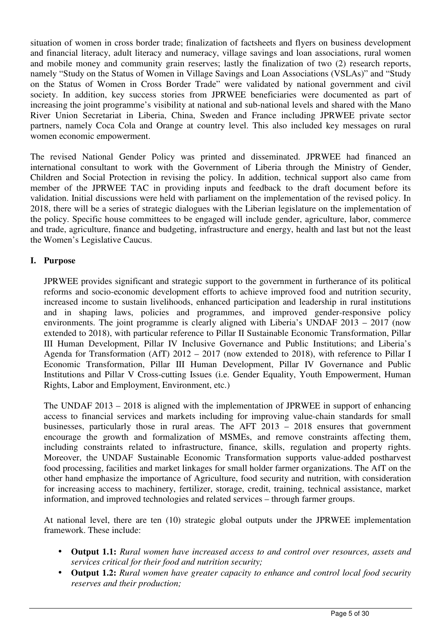situation of women in cross border trade; finalization of factsheets and flyers on business development and financial literacy, adult literacy and numeracy, village savings and loan associations, rural women and mobile money and community grain reserves; lastly the finalization of two (2) research reports, namely "Study on the Status of Women in Village Savings and Loan Associations (VSLAs)" and "Study on the Status of Women in Cross Border Trade" were validated by national government and civil society. In addition, key success stories from JPRWEE beneficiaries were documented as part of increasing the joint programme's visibility at national and sub-national levels and shared with the Mano River Union Secretariat in Liberia, China, Sweden and France including JPRWEE private sector partners, namely Coca Cola and Orange at country level. This also included key messages on rural women economic empowerment.

The revised National Gender Policy was printed and disseminated. JPRWEE had financed an international consultant to work with the Government of Liberia through the Ministry of Gender, Children and Social Protection in revising the policy. In addition, technical support also came from member of the JPRWEE TAC in providing inputs and feedback to the draft document before its validation. Initial discussions were held with parliament on the implementation of the revised policy. In 2018, there will be a series of strategic dialogues with the Liberian legislature on the implementation of the policy. Specific house committees to be engaged will include gender, agriculture, labor, commerce and trade, agriculture, finance and budgeting, infrastructure and energy, health and last but not the least the Women's Legislative Caucus.

## **I. Purpose**

JPRWEE provides significant and strategic support to the government in furtherance of its political reforms and socio-economic development efforts to achieve improved food and nutrition security, increased income to sustain livelihoods, enhanced participation and leadership in rural institutions and in shaping laws, policies and programmes, and improved gender-responsive policy environments. The joint programme is clearly aligned with Liberia's UNDAF 2013 – 2017 (now extended to 2018), with particular reference to Pillar II Sustainable Economic Transformation, Pillar III Human Development, Pillar IV Inclusive Governance and Public Institutions; and Liberia's Agenda for Transformation (AfT) 2012 – 2017 (now extended to 2018), with reference to Pillar I Economic Transformation, Pillar III Human Development, Pillar IV Governance and Public Institutions and Pillar V Cross-cutting Issues (i.e. Gender Equality, Youth Empowerment, Human Rights, Labor and Employment, Environment, etc.)

The UNDAF 2013 – 2018 is aligned with the implementation of JPRWEE in support of enhancing access to financial services and markets including for improving value-chain standards for small businesses, particularly those in rural areas. The AFT 2013 – 2018 ensures that government encourage the growth and formalization of MSMEs, and remove constraints affecting them, including constraints related to infrastructure, finance, skills, regulation and property rights. Moreover, the UNDAF Sustainable Economic Transformation supports value-added postharvest food processing, facilities and market linkages for small holder farmer organizations. The AfT on the other hand emphasize the importance of Agriculture, food security and nutrition, with consideration for increasing access to machinery, fertilizer, storage, credit, training, technical assistance, market information, and improved technologies and related services – through farmer groups.

At national level, there are ten (10) strategic global outputs under the JPRWEE implementation framework. These include:

- **Output 1.1:** *Rural women have increased access to and control over resources, assets and services critical for their food and nutrition security;*
- **Output 1.2:** *Rural women have greater capacity to enhance and control local food security reserves and their production;*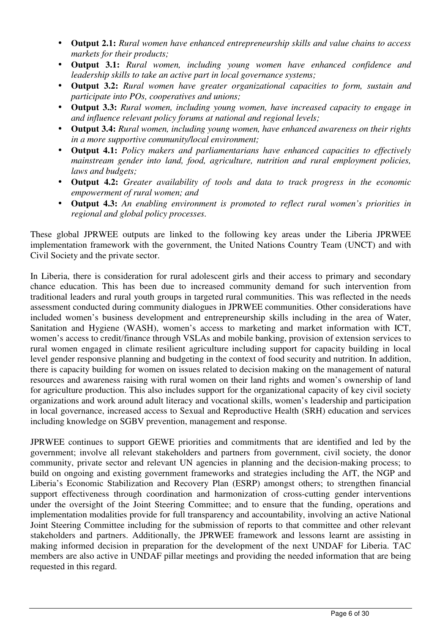- **Output 2.1:** *Rural women have enhanced entrepreneurship skills and value chains to access markets for their products;*
- **Output 3.1:** *Rural women, including young women have enhanced confidence and leadership skills to take an active part in local governance systems;*
- **Output 3.2:** *Rural women have greater organizational capacities to form, sustain and participate into POs, cooperatives and unions;*
- **Output 3.3:** *Rural women, including young women, have increased capacity to engage in and influence relevant policy forums at national and regional levels;*
- **Output 3.4:** *Rural women, including young women, have enhanced awareness on their rights in a more supportive community/local environment;*
- **Output 4.1:** *Policy makers and parliamentarians have enhanced capacities to effectively mainstream gender into land, food, agriculture, nutrition and rural employment policies, laws and budgets;*
- **Output 4.2:** *Greater availability of tools and data to track progress in the economic empowerment of rural women; and*
- **Output 4.3:** *An enabling environment is promoted to reflect rural women's priorities in regional and global policy processes.*

These global JPRWEE outputs are linked to the following key areas under the Liberia JPRWEE implementation framework with the government, the United Nations Country Team (UNCT) and with Civil Society and the private sector.

In Liberia, there is consideration for rural adolescent girls and their access to primary and secondary chance education. This has been due to increased community demand for such intervention from traditional leaders and rural youth groups in targeted rural communities. This was reflected in the needs assessment conducted during community dialogues in JPRWEE communities. Other considerations have included women's business development and entrepreneurship skills including in the area of Water, Sanitation and Hygiene (WASH), women's access to marketing and market information with ICT, women's access to credit/finance through VSLAs and mobile banking, provision of extension services to rural women engaged in climate resilient agriculture including support for capacity building in local level gender responsive planning and budgeting in the context of food security and nutrition. In addition, there is capacity building for women on issues related to decision making on the management of natural resources and awareness raising with rural women on their land rights and women's ownership of land for agriculture production. This also includes support for the organizational capacity of key civil society organizations and work around adult literacy and vocational skills, women's leadership and participation in local governance, increased access to Sexual and Reproductive Health (SRH) education and services including knowledge on SGBV prevention, management and response.

JPRWEE continues to support GEWE priorities and commitments that are identified and led by the government; involve all relevant stakeholders and partners from government, civil society, the donor community, private sector and relevant UN agencies in planning and the decision-making process; to build on ongoing and existing government frameworks and strategies including the AfT, the NGP and Liberia's Economic Stabilization and Recovery Plan (ESRP) amongst others; to strengthen financial support effectiveness through coordination and harmonization of cross-cutting gender interventions under the oversight of the Joint Steering Committee; and to ensure that the funding, operations and implementation modalities provide for full transparency and accountability, involving an active National Joint Steering Committee including for the submission of reports to that committee and other relevant stakeholders and partners. Additionally, the JPRWEE framework and lessons learnt are assisting in making informed decision in preparation for the development of the next UNDAF for Liberia. TAC members are also active in UNDAF pillar meetings and providing the needed information that are being requested in this regard.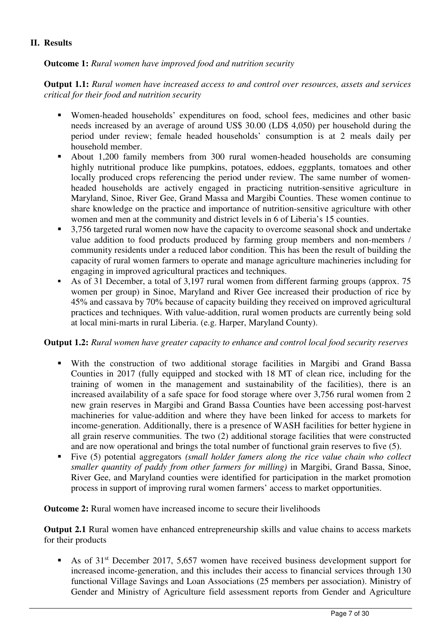## **II. Results**

#### **Outcome 1:** *Rural women have improved food and nutrition security*

**Output 1.1:** *Rural women have increased access to and control over resources, assets and services critical for their food and nutrition security* 

- Women-headed households' expenditures on food, school fees, medicines and other basic needs increased by an average of around US\$ 30.00 (LD\$ 4,050) per household during the period under review; female headed households' consumption is at 2 meals daily per household member.
- About 1,200 family members from 300 rural women-headed households are consuming highly nutritional produce like pumpkins, potatoes, eddoes, eggplants, tomatoes and other locally produced crops referencing the period under review. The same number of womenheaded households are actively engaged in practicing nutrition-sensitive agriculture in Maryland, Sinoe, River Gee, Grand Massa and Margibi Counties. These women continue to share knowledge on the practice and importance of nutrition-sensitive agriculture with other women and men at the community and district levels in 6 of Liberia's 15 counties.
- 3,756 targeted rural women now have the capacity to overcome seasonal shock and undertake value addition to food products produced by farming group members and non-members / community residents under a reduced labor condition. This has been the result of building the capacity of rural women farmers to operate and manage agriculture machineries including for engaging in improved agricultural practices and techniques.
- As of 31 December, a total of 3,197 rural women from different farming groups (approx. 75 women per group) in Sinoe, Maryland and River Gee increased their production of rice by 45% and cassava by 70% because of capacity building they received on improved agricultural practices and techniques. With value-addition, rural women products are currently being sold at local mini-marts in rural Liberia. (e.g. Harper, Maryland County).

#### **Output 1.2:** *Rural women have greater capacity to enhance and control local food security reserves*

- With the construction of two additional storage facilities in Margibi and Grand Bassa Counties in 2017 (fully equipped and stocked with 18 MT of clean rice, including for the training of women in the management and sustainability of the facilities), there is an increased availability of a safe space for food storage where over 3,756 rural women from 2 new grain reserves in Margibi and Grand Bassa Counties have been accessing post-harvest machineries for value-addition and where they have been linked for access to markets for income-generation. Additionally, there is a presence of WASH facilities for better hygiene in all grain reserve communities. The two (2) additional storage facilities that were constructed and are now operational and brings the total number of functional grain reserves to five (5).
- Five (5) potential aggregators *(small holder famers along the rice value chain who collect smaller quantity of paddy from other farmers for milling)* in Margibi, Grand Bassa, Sinoe, River Gee, and Maryland counties were identified for participation in the market promotion process in support of improving rural women farmers' access to market opportunities.

#### **Outcome 2:** Rural women have increased income to secure their livelihoods

**Output 2.1** Rural women have enhanced entrepreneurship skills and value chains to access markets for their products

As of 31<sup>st</sup> December 2017, 5,657 women have received business development support for increased income-generation, and this includes their access to financial services through 130 functional Village Savings and Loan Associations (25 members per association). Ministry of Gender and Ministry of Agriculture field assessment reports from Gender and Agriculture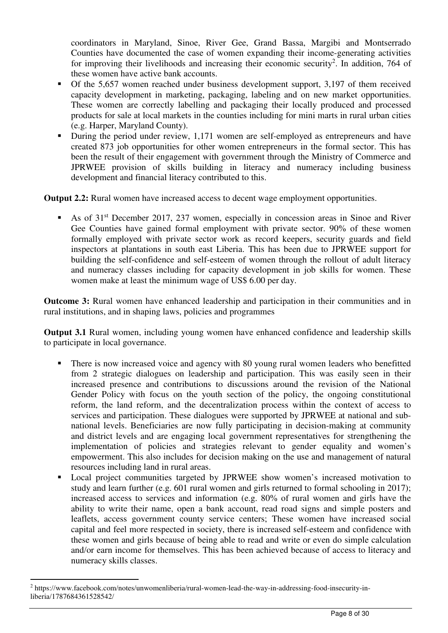coordinators in Maryland, Sinoe, River Gee, Grand Bassa, Margibi and Montserrado Counties have documented the case of women expanding their income-generating activities for improving their livelihoods and increasing their economic security<sup>2</sup>. In addition, 764 of these women have active bank accounts.

- Of the 5,657 women reached under business development support, 3,197 of them received capacity development in marketing, packaging, labeling and on new market opportunities. These women are correctly labelling and packaging their locally produced and processed products for sale at local markets in the counties including for mini marts in rural urban cities (e.g. Harper, Maryland County).
- During the period under review, 1,171 women are self-employed as entrepreneurs and have created 873 job opportunities for other women entrepreneurs in the formal sector. This has been the result of their engagement with government through the Ministry of Commerce and JPRWEE provision of skills building in literacy and numeracy including business development and financial literacy contributed to this.

**Output 2.2:** Rural women have increased access to decent wage employment opportunities.

As of 31<sup>st</sup> December 2017, 237 women, especially in concession areas in Sinoe and River Gee Counties have gained formal employment with private sector. 90% of these women formally employed with private sector work as record keepers, security guards and field inspectors at plantations in south east Liberia. This has been due to JPRWEE support for building the self-confidence and self-esteem of women through the rollout of adult literacy and numeracy classes including for capacity development in job skills for women. These women make at least the minimum wage of US\$ 6.00 per day.

**Outcome 3:** Rural women have enhanced leadership and participation in their communities and in rural institutions, and in shaping laws, policies and programmes

**Output 3.1** Rural women, including young women have enhanced confidence and leadership skills to participate in local governance.

- There is now increased voice and agency with 80 young rural women leaders who benefitted from 2 strategic dialogues on leadership and participation. This was easily seen in their increased presence and contributions to discussions around the revision of the National Gender Policy with focus on the youth section of the policy, the ongoing constitutional reform, the land reform, and the decentralization process within the context of access to services and participation. These dialogues were supported by JPRWEE at national and subnational levels. Beneficiaries are now fully participating in decision-making at community and district levels and are engaging local government representatives for strengthening the implementation of policies and strategies relevant to gender equality and women's empowerment. This also includes for decision making on the use and management of natural resources including land in rural areas.
- Local project communities targeted by JPRWEE show women's increased motivation to study and learn further (e.g. 601 rural women and girls returned to formal schooling in 2017); increased access to services and information (e.g. 80% of rural women and girls have the ability to write their name, open a bank account, read road signs and simple posters and leaflets, access government county service centers; These women have increased social capital and feel more respected in society, there is increased self-esteem and confidence with these women and girls because of being able to read and write or even do simple calculation and/or earn income for themselves. This has been achieved because of access to literacy and numeracy skills classes.

 $\overline{a}$ 

<sup>&</sup>lt;sup>2</sup> https://www.facebook.com/notes/unwomenliberia/rural-women-lead-the-way-in-addressing-food-insecurity-inliberia/1787684361528542/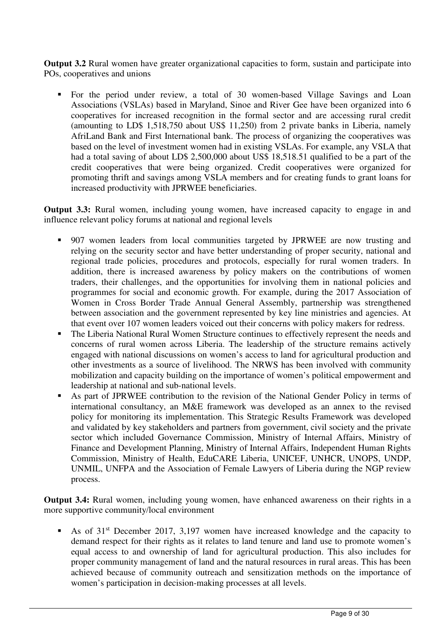**Output 3.2** Rural women have greater organizational capacities to form, sustain and participate into POs, cooperatives and unions

 For the period under review, a total of 30 women-based Village Savings and Loan Associations (VSLAs) based in Maryland, Sinoe and River Gee have been organized into 6 cooperatives for increased recognition in the formal sector and are accessing rural credit (amounting to LD\$ 1,518,750 about US\$ 11,250) from 2 private banks in Liberia, namely AfriLand Bank and First International bank. The process of organizing the cooperatives was based on the level of investment women had in existing VSLAs. For example, any VSLA that had a total saving of about LD\$ 2,500,000 about US\$ 18,518.51 qualified to be a part of the credit cooperatives that were being organized. Credit cooperatives were organized for promoting thrift and savings among VSLA members and for creating funds to grant loans for increased productivity with JPRWEE beneficiaries.

**Output 3.3:** Rural women, including young women, have increased capacity to engage in and influence relevant policy forums at national and regional levels

- 907 women leaders from local communities targeted by JPRWEE are now trusting and relying on the security sector and have better understanding of proper security, national and regional trade policies, procedures and protocols, especially for rural women traders. In addition, there is increased awareness by policy makers on the contributions of women traders, their challenges, and the opportunities for involving them in national policies and programmes for social and economic growth. For example, during the 2017 Association of Women in Cross Border Trade Annual General Assembly, partnership was strengthened between association and the government represented by key line ministries and agencies. At that event over 107 women leaders voiced out their concerns with policy makers for redress.
- The Liberia National Rural Women Structure continues to effectively represent the needs and concerns of rural women across Liberia. The leadership of the structure remains actively engaged with national discussions on women's access to land for agricultural production and other investments as a source of livelihood. The NRWS has been involved with community mobilization and capacity building on the importance of women's political empowerment and leadership at national and sub-national levels.
- As part of JPRWEE contribution to the revision of the National Gender Policy in terms of international consultancy, an M&E framework was developed as an annex to the revised policy for monitoring its implementation. This Strategic Results Framework was developed and validated by key stakeholders and partners from government, civil society and the private sector which included Governance Commission, Ministry of Internal Affairs, Ministry of Finance and Development Planning, Ministry of Internal Affairs, Independent Human Rights Commission, Ministry of Health, EduCARE Liberia, UNICEF, UNHCR, UNOPS, UNDP, UNMIL, UNFPA and the Association of Female Lawyers of Liberia during the NGP review process.

**Output 3.4:** Rural women, including young women, have enhanced awareness on their rights in a more supportive community/local environment

As of  $31<sup>st</sup>$  December 2017, 3,197 women have increased knowledge and the capacity to demand respect for their rights as it relates to land tenure and land use to promote women's equal access to and ownership of land for agricultural production. This also includes for proper community management of land and the natural resources in rural areas. This has been achieved because of community outreach and sensitization methods on the importance of women's participation in decision-making processes at all levels.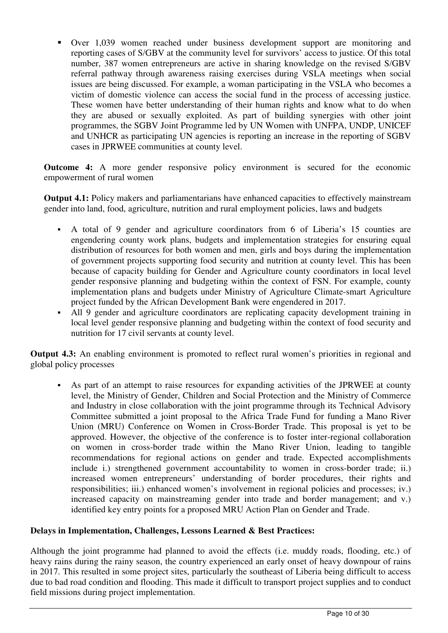Over 1,039 women reached under business development support are monitoring and reporting cases of S/GBV at the community level for survivors' access to justice. Of this total number, 387 women entrepreneurs are active in sharing knowledge on the revised S/GBV referral pathway through awareness raising exercises during VSLA meetings when social issues are being discussed. For example, a woman participating in the VSLA who becomes a victim of domestic violence can access the social fund in the process of accessing justice. These women have better understanding of their human rights and know what to do when they are abused or sexually exploited. As part of building synergies with other joint programmes, the SGBV Joint Programme led by UN Women with UNFPA, UNDP, UNICEF and UNHCR as participating UN agencies is reporting an increase in the reporting of SGBV cases in JPRWEE communities at county level.

**Outcome 4:** A more gender responsive policy environment is secured for the economic empowerment of rural women

**Output 4.1:** Policy makers and parliamentarians have enhanced capacities to effectively mainstream gender into land, food, agriculture, nutrition and rural employment policies, laws and budgets

- A total of 9 gender and agriculture coordinators from 6 of Liberia's 15 counties are engendering county work plans, budgets and implementation strategies for ensuring equal distribution of resources for both women and men, girls and boys during the implementation of government projects supporting food security and nutrition at county level. This has been because of capacity building for Gender and Agriculture county coordinators in local level gender responsive planning and budgeting within the context of FSN. For example, county implementation plans and budgets under Ministry of Agriculture Climate-smart Agriculture project funded by the African Development Bank were engendered in 2017.
- All 9 gender and agriculture coordinators are replicating capacity development training in local level gender responsive planning and budgeting within the context of food security and nutrition for 17 civil servants at county level.

**Output 4.3:** An enabling environment is promoted to reflect rural women's priorities in regional and global policy processes

 As part of an attempt to raise resources for expanding activities of the JPRWEE at county level, the Ministry of Gender, Children and Social Protection and the Ministry of Commerce and Industry in close collaboration with the joint programme through its Technical Advisory Committee submitted a joint proposal to the Africa Trade Fund for funding a Mano River Union (MRU) Conference on Women in Cross-Border Trade. This proposal is yet to be approved. However, the objective of the conference is to foster inter-regional collaboration on women in cross-border trade within the Mano River Union, leading to tangible recommendations for regional actions on gender and trade. Expected accomplishments include i.) strengthened government accountability to women in cross-border trade; ii.) increased women entrepreneurs' understanding of border procedures, their rights and responsibilities; iii.) enhanced women's involvement in regional policies and processes; iv.) increased capacity on mainstreaming gender into trade and border management; and v.) identified key entry points for a proposed MRU Action Plan on Gender and Trade.

## **Delays in Implementation, Challenges, Lessons Learned & Best Practices:**

Although the joint programme had planned to avoid the effects (i.e. muddy roads, flooding, etc.) of heavy rains during the rainy season, the country experienced an early onset of heavy downpour of rains in 2017. This resulted in some project sites, particularly the southeast of Liberia being difficult to access due to bad road condition and flooding. This made it difficult to transport project supplies and to conduct field missions during project implementation.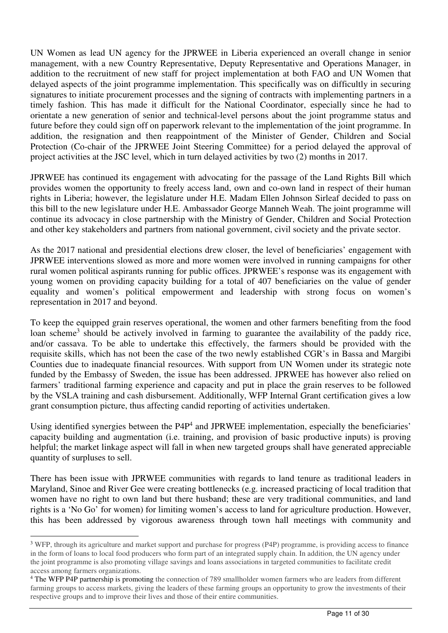UN Women as lead UN agency for the JPRWEE in Liberia experienced an overall change in senior management, with a new Country Representative, Deputy Representative and Operations Manager, in addition to the recruitment of new staff for project implementation at both FAO and UN Women that delayed aspects of the joint programme implementation. This specifically was on difficultly in securing signatures to initiate procurement processes and the signing of contracts with implementing partners in a timely fashion. This has made it difficult for the National Coordinator, especially since he had to orientate a new generation of senior and technical-level persons about the joint programme status and future before they could sign off on paperwork relevant to the implementation of the joint programme. In addition, the resignation and then reappointment of the Minister of Gender, Children and Social Protection (Co-chair of the JPRWEE Joint Steering Committee) for a period delayed the approval of project activities at the JSC level, which in turn delayed activities by two (2) months in 2017.

JPRWEE has continued its engagement with advocating for the passage of the Land Rights Bill which provides women the opportunity to freely access land, own and co-own land in respect of their human rights in Liberia; however, the legislature under H.E. Madam Ellen Johnson Sirleaf decided to pass on this bill to the new legislature under H.E. Ambassador George Manneh Weah. The joint programme will continue its advocacy in close partnership with the Ministry of Gender, Children and Social Protection and other key stakeholders and partners from national government, civil society and the private sector.

As the 2017 national and presidential elections drew closer, the level of beneficiaries' engagement with JPRWEE interventions slowed as more and more women were involved in running campaigns for other rural women political aspirants running for public offices. JPRWEE's response was its engagement with young women on providing capacity building for a total of 407 beneficiaries on the value of gender equality and women's political empowerment and leadership with strong focus on women's representation in 2017 and beyond.

To keep the equipped grain reserves operational, the women and other farmers benefiting from the food loan scheme<sup>3</sup> should be actively involved in farming to guarantee the availability of the paddy rice, and/or cassava. To be able to undertake this effectively, the farmers should be provided with the requisite skills, which has not been the case of the two newly established CGR's in Bassa and Margibi Counties due to inadequate financial resources. With support from UN Women under its strategic note funded by the Embassy of Sweden, the issue has been addressed. JPRWEE has however also relied on farmers' traditional farming experience and capacity and put in place the grain reserves to be followed by the VSLA training and cash disbursement. Additionally, WFP Internal Grant certification gives a low grant consumption picture, thus affecting candid reporting of activities undertaken.

Using identified synergies between the P4P<sup>4</sup> and JPRWEE implementation, especially the beneficiaries' capacity building and augmentation (i.e. training, and provision of basic productive inputs) is proving helpful; the market linkage aspect will fall in when new targeted groups shall have generated appreciable quantity of surpluses to sell.

There has been issue with JPRWEE communities with regards to land tenure as traditional leaders in Maryland, Sinoe and River Gee were creating bottlenecks (e.g. increased practicing of local tradition that women have no right to own land but there husband; these are very traditional communities, and land rights is a 'No Go' for women) for limiting women's access to land for agriculture production. However, this has been addressed by vigorous awareness through town hall meetings with community and

 $\overline{a}$ 

<sup>&</sup>lt;sup>3</sup> WFP, through its agriculture and market support and purchase for progress (P4P) programme, is providing access to finance in the form of loans to local food producers who form part of an integrated supply chain. In addition, the UN agency under the joint programme is also promoting village savings and loans associations in targeted communities to facilitate credit access among farmers organizations.

<sup>&</sup>lt;sup>4</sup> The WFP P4P partnership is promoting the connection of 789 smallholder women farmers who are leaders from different farming groups to access markets, giving the leaders of these farming groups an opportunity to grow the investments of their respective groups and to improve their lives and those of their entire communities.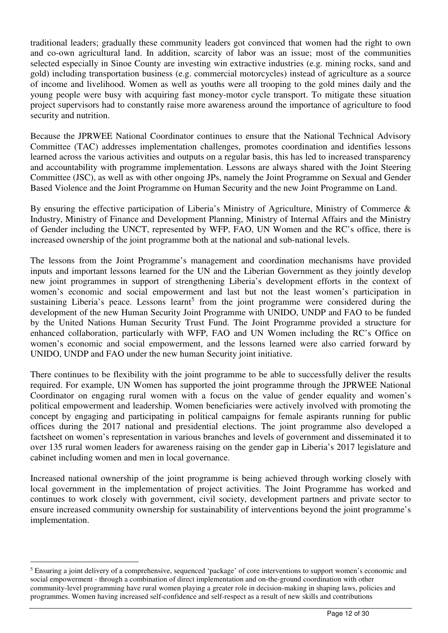traditional leaders; gradually these community leaders got convinced that women had the right to own and co-own agricultural land. In addition, scarcity of labor was an issue; most of the communities selected especially in Sinoe County are investing win extractive industries (e.g. mining rocks, sand and gold) including transportation business (e.g. commercial motorcycles) instead of agriculture as a source of income and livelihood. Women as well as youths were all trooping to the gold mines daily and the young people were busy with acquiring fast money-motor cycle transport. To mitigate these situation project supervisors had to constantly raise more awareness around the importance of agriculture to food security and nutrition.

Because the JPRWEE National Coordinator continues to ensure that the National Technical Advisory Committee (TAC) addresses implementation challenges, promotes coordination and identifies lessons learned across the various activities and outputs on a regular basis, this has led to increased transparency and accountability with programme implementation. Lessons are always shared with the Joint Steering Committee (JSC), as well as with other ongoing JPs, namely the Joint Programme on Sexual and Gender Based Violence and the Joint Programme on Human Security and the new Joint Programme on Land.

By ensuring the effective participation of Liberia's Ministry of Agriculture, Ministry of Commerce & Industry, Ministry of Finance and Development Planning, Ministry of Internal Affairs and the Ministry of Gender including the UNCT, represented by WFP, FAO, UN Women and the RC's office, there is increased ownership of the joint programme both at the national and sub-national levels.

The lessons from the Joint Programme's management and coordination mechanisms have provided inputs and important lessons learned for the UN and the Liberian Government as they jointly develop new joint programmes in support of strengthening Liberia's development efforts in the context of women's economic and social empowerment and last but not the least women's participation in sustaining Liberia's peace. Lessons learnt<sup>5</sup> from the joint programme were considered during the development of the new Human Security Joint Programme with UNIDO, UNDP and FAO to be funded by the United Nations Human Security Trust Fund. The Joint Programme provided a structure for enhanced collaboration, particularly with WFP, FAO and UN Women including the RC's Office on women's economic and social empowerment, and the lessons learned were also carried forward by UNIDO, UNDP and FAO under the new human Security joint initiative.

There continues to be flexibility with the joint programme to be able to successfully deliver the results required. For example, UN Women has supported the joint programme through the JPRWEE National Coordinator on engaging rural women with a focus on the value of gender equality and women's political empowerment and leadership. Women beneficiaries were actively involved with promoting the concept by engaging and participating in political campaigns for female aspirants running for public offices during the 2017 national and presidential elections. The joint programme also developed a factsheet on women's representation in various branches and levels of government and disseminated it to over 135 rural women leaders for awareness raising on the gender gap in Liberia's 2017 legislature and cabinet including women and men in local governance.

Increased national ownership of the joint programme is being achieved through working closely with local government in the implementation of project activities. The Joint Programme has worked and continues to work closely with government, civil society, development partners and private sector to ensure increased community ownership for sustainability of interventions beyond the joint programme's implementation.

 $\overline{a}$ 

<sup>&</sup>lt;sup>5</sup> Ensuring a joint delivery of a comprehensive, sequenced 'package' of core interventions to support women's economic and social empowerment - through a combination of direct implementation and on-the-ground coordination with other community-level programming have rural women playing a greater role in decision-making in shaping laws, policies and programmes. Women having increased self-confidence and self-respect as a result of new skills and contributions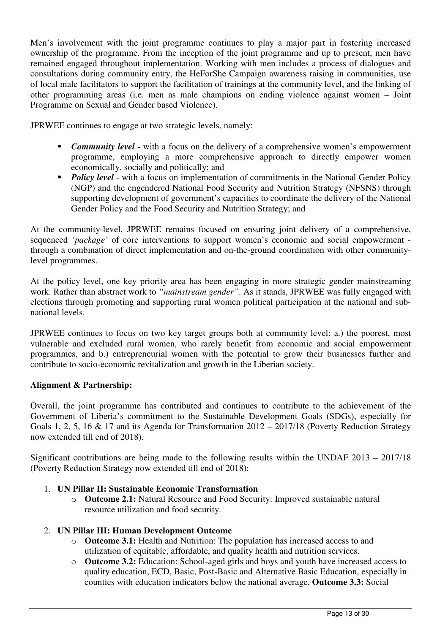Men's involvement with the joint programme continues to play a major part in fostering increased ownership of the programme. From the inception of the joint programme and up to present, men have remained engaged throughout implementation. Working with men includes a process of dialogues and consultations during community entry, the HeForShe Campaign awareness raising in communities, use of local male facilitators to support the facilitation of trainings at the community level, and the linking of other programming areas (i.e. men as male champions on ending violence against women – Joint Programme on Sexual and Gender based Violence).

JPRWEE continues to engage at two strategic levels, namely:

- **Community level -** with a focus on the delivery of a comprehensive women's empowerment programme, employing a more comprehensive approach to directly empower women economically, socially and politically; and
- **Policy level** with a focus on implementation of commitments in the National Gender Policy (NGP) and the engendered National Food Security and Nutrition Strategy (NFSNS) through supporting development of government's capacities to coordinate the delivery of the National Gender Policy and the Food Security and Nutrition Strategy; and

At the community-level, JPRWEE remains focused on ensuring joint delivery of a comprehensive, sequenced *'package'* of core interventions to support women's economic and social empowerment through a combination of direct implementation and on-the-ground coordination with other communitylevel programmes.

At the policy level, one key priority area has been engaging in more strategic gender mainstreaming work. Rather than abstract work to *"mainstream gender"*. As it stands, JPRWEE was fully engaged with elections through promoting and supporting rural women political participation at the national and subnational levels.

JPRWEE continues to focus on two key target groups both at community level: a.) the poorest, most vulnerable and excluded rural women, who rarely benefit from economic and social empowerment programmes, and b.) entrepreneurial women with the potential to grow their businesses further and contribute to socio-economic revitalization and growth in the Liberian society.

# **Alignment & Partnership:**

Overall, the joint programme has contributed and continues to contribute to the achievement of the Government of Liberia's commitment to the Sustainable Development Goals (SDGs), especially for Goals 1, 2, 5, 16 & 17 and its Agenda for Transformation 2012 – 2017/18 (Poverty Reduction Strategy now extended till end of 2018).

Significant contributions are being made to the following results within the UNDAF 2013 – 2017/18 (Poverty Reduction Strategy now extended till end of 2018):

## 1. **UN Pillar II: Sustainable Economic Transformation**

o **Outcome 2.1:** Natural Resource and Food Security: Improved sustainable natural resource utilization and food security.

# 2. **UN Pillar III: Human Development Outcome**

- o **Outcome 3.1:** Health and Nutrition: The population has increased access to and utilization of equitable, affordable, and quality health and nutrition services.
- o **Outcome 3.2:** Education: School-aged girls and boys and youth have increased access to quality education, ECD, Basic, Post-Basic and Alternative Basic Education, especially in counties with education indicators below the national average. **Outcome 3.3:** Social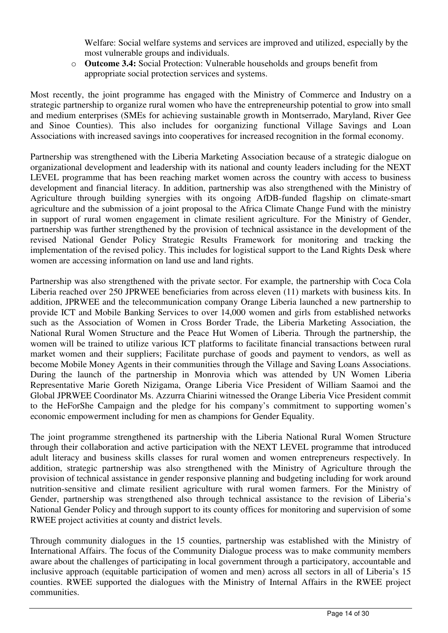Welfare: Social welfare systems and services are improved and utilized, especially by the most vulnerable groups and individuals.

o **Outcome 3.4:** Social Protection: Vulnerable households and groups benefit from appropriate social protection services and systems.

Most recently, the joint programme has engaged with the Ministry of Commerce and Industry on a strategic partnership to organize rural women who have the entrepreneurship potential to grow into small and medium enterprises (SMEs for achieving sustainable growth in Montserrado, Maryland, River Gee and Sinoe Counties). This also includes for oorganizing functional Village Savings and Loan Associations with increased savings into cooperatives for increased recognition in the formal economy.

Partnership was strengthened with the Liberia Marketing Association because of a strategic dialogue on organizational development and leadership with its national and county leaders including for the NEXT LEVEL programme that has been reaching market women across the country with access to business development and financial literacy. In addition, partnership was also strengthened with the Ministry of Agriculture through building synergies with its ongoing AfDB-funded flagship on climate-smart agriculture and the submission of a joint proposal to the Africa Climate Change Fund with the ministry in support of rural women engagement in climate resilient agriculture. For the Ministry of Gender, partnership was further strengthened by the provision of technical assistance in the development of the revised National Gender Policy Strategic Results Framework for monitoring and tracking the implementation of the revised policy. This includes for logistical support to the Land Rights Desk where women are accessing information on land use and land rights.

Partnership was also strengthened with the private sector. For example, the partnership with Coca Cola Liberia reached over 250 JPRWEE beneficiaries from across eleven (11) markets with business kits. In addition, JPRWEE and the telecommunication company Orange Liberia launched a new partnership to provide ICT and Mobile Banking Services to over 14,000 women and girls from established networks such as the Association of Women in Cross Border Trade, the Liberia Marketing Association, the National Rural Women Structure and the Peace Hut Women of Liberia. Through the partnership, the women will be trained to utilize various ICT platforms to facilitate financial transactions between rural market women and their suppliers; Facilitate purchase of goods and payment to vendors, as well as become Mobile Money Agents in their communities through the Village and Saving Loans Associations. During the launch of the partnership in Monrovia which was attended by UN Women Liberia Representative Marie Goreth Nizigama, Orange Liberia Vice President of William Saamoi and the Global JPRWEE Coordinator Ms. Azzurra Chiarini witnessed the Orange Liberia Vice President commit to the HeForShe Campaign and the pledge for his company's commitment to supporting women's economic empowerment including for men as champions for Gender Equality.

The joint programme strengthened its partnership with the Liberia National Rural Women Structure through their collaboration and active participation with the NEXT LEVEL programme that introduced adult literacy and business skills classes for rural women and women entrepreneurs respectively. In addition, strategic partnership was also strengthened with the Ministry of Agriculture through the provision of technical assistance in gender responsive planning and budgeting including for work around nutrition-sensitive and climate resilient agriculture with rural women farmers. For the Ministry of Gender, partnership was strengthened also through technical assistance to the revision of Liberia's National Gender Policy and through support to its county offices for monitoring and supervision of some RWEE project activities at county and district levels.

Through community dialogues in the 15 counties, partnership was established with the Ministry of International Affairs. The focus of the Community Dialogue process was to make community members aware about the challenges of participating in local government through a participatory, accountable and inclusive approach (equitable participation of women and men) across all sectors in all of Liberia's 15 counties. RWEE supported the dialogues with the Ministry of Internal Affairs in the RWEE project communities.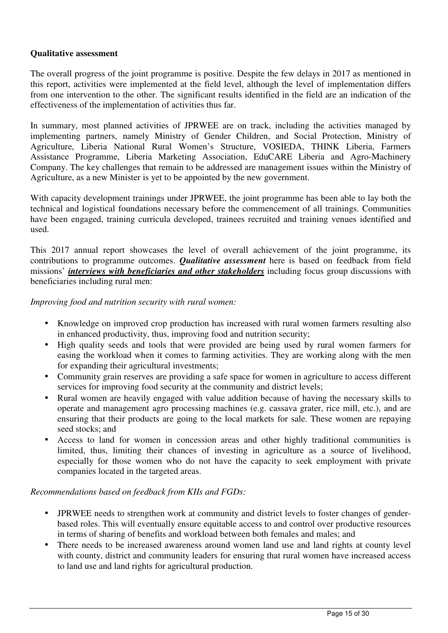## **Qualitative assessment**

The overall progress of the joint programme is positive. Despite the few delays in 2017 as mentioned in this report, activities were implemented at the field level, although the level of implementation differs from one intervention to the other. The significant results identified in the field are an indication of the effectiveness of the implementation of activities thus far.

In summary, most planned activities of JPRWEE are on track, including the activities managed by implementing partners, namely Ministry of Gender Children, and Social Protection, Ministry of Agriculture, Liberia National Rural Women's Structure, VOSIEDA, THINK Liberia, Farmers Assistance Programme, Liberia Marketing Association, EduCARE Liberia and Agro-Machinery Company. The key challenges that remain to be addressed are management issues within the Ministry of Agriculture, as a new Minister is yet to be appointed by the new government.

With capacity development trainings under JPRWEE, the joint programme has been able to lay both the technical and logistical foundations necessary before the commencement of all trainings. Communities have been engaged, training curricula developed, trainees recruited and training venues identified and used.

This 2017 annual report showcases the level of overall achievement of the joint programme, its contributions to programme outcomes. *Qualitative assessment* here is based on feedback from field missions' *interviews with beneficiaries and other stakeholders* including focus group discussions with beneficiaries including rural men:

*Improving food and nutrition security with rural women:* 

- Knowledge on improved crop production has increased with rural women farmers resulting also in enhanced productivity, thus, improving food and nutrition security;
- High quality seeds and tools that were provided are being used by rural women farmers for easing the workload when it comes to farming activities. They are working along with the men for expanding their agricultural investments;
- Community grain reserves are providing a safe space for women in agriculture to access different services for improving food security at the community and district levels;
- Rural women are heavily engaged with value addition because of having the necessary skills to operate and management agro processing machines (e.g. cassava grater, rice mill, etc.), and are ensuring that their products are going to the local markets for sale. These women are repaying seed stocks; and
- Access to land for women in concession areas and other highly traditional communities is limited, thus, limiting their chances of investing in agriculture as a source of livelihood, especially for those women who do not have the capacity to seek employment with private companies located in the targeted areas.

## *Recommendations based on feedback from KIIs and FGDs:*

- JPRWEE needs to strengthen work at community and district levels to foster changes of genderbased roles. This will eventually ensure equitable access to and control over productive resources in terms of sharing of benefits and workload between both females and males; and
- There needs to be increased awareness around women land use and land rights at county level with county, district and community leaders for ensuring that rural women have increased access to land use and land rights for agricultural production.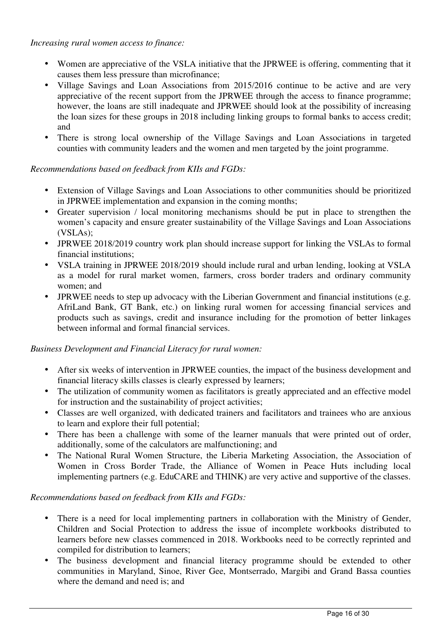*Increasing rural women access to finance:* 

- Women are appreciative of the VSLA initiative that the JPRWEE is offering, commenting that it causes them less pressure than microfinance;
- Village Savings and Loan Associations from 2015/2016 continue to be active and are very appreciative of the recent support from the JPRWEE through the access to finance programme; however, the loans are still inadequate and JPRWEE should look at the possibility of increasing the loan sizes for these groups in 2018 including linking groups to formal banks to access credit; and
- There is strong local ownership of the Village Savings and Loan Associations in targeted counties with community leaders and the women and men targeted by the joint programme.

# *Recommendations based on feedback from KIIs and FGDs:*

- Extension of Village Savings and Loan Associations to other communities should be prioritized in JPRWEE implementation and expansion in the coming months;
- Greater supervision / local monitoring mechanisms should be put in place to strengthen the women's capacity and ensure greater sustainability of the Village Savings and Loan Associations (VSLAs);
- JPRWEE 2018/2019 country work plan should increase support for linking the VSLAs to formal financial institutions;
- VSLA training in JPRWEE 2018/2019 should include rural and urban lending, looking at VSLA as a model for rural market women, farmers, cross border traders and ordinary community women; and
- JPRWEE needs to step up advocacy with the Liberian Government and financial institutions (e.g. AfriLand Bank, GT Bank, etc.) on linking rural women for accessing financial services and products such as savings, credit and insurance including for the promotion of better linkages between informal and formal financial services.

## *Business Development and Financial Literacy for rural women:*

- After six weeks of intervention in JPRWEE counties, the impact of the business development and financial literacy skills classes is clearly expressed by learners;
- The utilization of community women as facilitators is greatly appreciated and an effective model for instruction and the sustainability of project activities;
- Classes are well organized, with dedicated trainers and facilitators and trainees who are anxious to learn and explore their full potential;
- There has been a challenge with some of the learner manuals that were printed out of order, additionally, some of the calculators are malfunctioning; and
- The National Rural Women Structure, the Liberia Marketing Association, the Association of Women in Cross Border Trade, the Alliance of Women in Peace Huts including local implementing partners (e.g. EduCARE and THINK) are very active and supportive of the classes.

# *Recommendations based on feedback from KIIs and FGDs:*

- There is a need for local implementing partners in collaboration with the Ministry of Gender, Children and Social Protection to address the issue of incomplete workbooks distributed to learners before new classes commenced in 2018. Workbooks need to be correctly reprinted and compiled for distribution to learners;
- The business development and financial literacy programme should be extended to other communities in Maryland, Sinoe, River Gee, Montserrado, Margibi and Grand Bassa counties where the demand and need is; and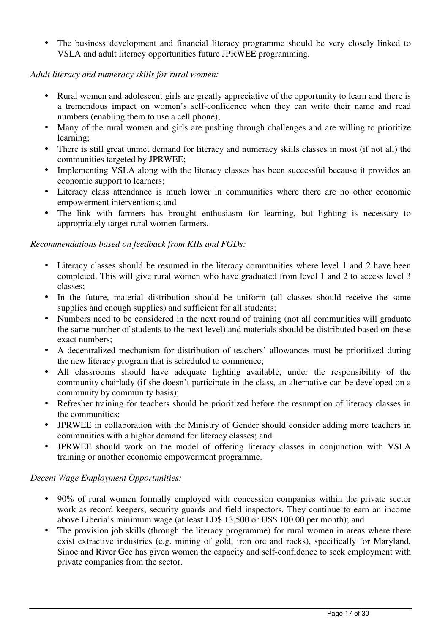• The business development and financial literacy programme should be very closely linked to VSLA and adult literacy opportunities future JPRWEE programming.

## *Adult literacy and numeracy skills for rural women:*

- Rural women and adolescent girls are greatly appreciative of the opportunity to learn and there is a tremendous impact on women's self-confidence when they can write their name and read numbers (enabling them to use a cell phone);
- Many of the rural women and girls are pushing through challenges and are willing to prioritize learning;
- There is still great unmet demand for literacy and numeracy skills classes in most (if not all) the communities targeted by JPRWEE;
- Implementing VSLA along with the literacy classes has been successful because it provides an economic support to learners;
- Literacy class attendance is much lower in communities where there are no other economic empowerment interventions; and
- The link with farmers has brought enthusiasm for learning, but lighting is necessary to appropriately target rural women farmers.

## *Recommendations based on feedback from KIIs and FGDs:*

- Literacy classes should be resumed in the literacy communities where level 1 and 2 have been completed. This will give rural women who have graduated from level 1 and 2 to access level 3 classes;
- In the future, material distribution should be uniform (all classes should receive the same supplies and enough supplies) and sufficient for all students;
- Numbers need to be considered in the next round of training (not all communities will graduate the same number of students to the next level) and materials should be distributed based on these exact numbers;
- A decentralized mechanism for distribution of teachers' allowances must be prioritized during the new literacy program that is scheduled to commence;
- All classrooms should have adequate lighting available, under the responsibility of the community chairlady (if she doesn't participate in the class, an alternative can be developed on a community by community basis);
- Refresher training for teachers should be prioritized before the resumption of literacy classes in the communities;
- JPRWEE in collaboration with the Ministry of Gender should consider adding more teachers in communities with a higher demand for literacy classes; and
- JPRWEE should work on the model of offering literacy classes in conjunction with VSLA training or another economic empowerment programme.

## *Decent Wage Employment Opportunities:*

- 90% of rural women formally employed with concession companies within the private sector work as record keepers, security guards and field inspectors. They continue to earn an income above Liberia's minimum wage (at least LD\$ 13,500 or US\$ 100.00 per month); and
- The provision job skills (through the literacy programme) for rural women in areas where there exist extractive industries (e.g. mining of gold, iron ore and rocks), specifically for Maryland, Sinoe and River Gee has given women the capacity and self-confidence to seek employment with private companies from the sector.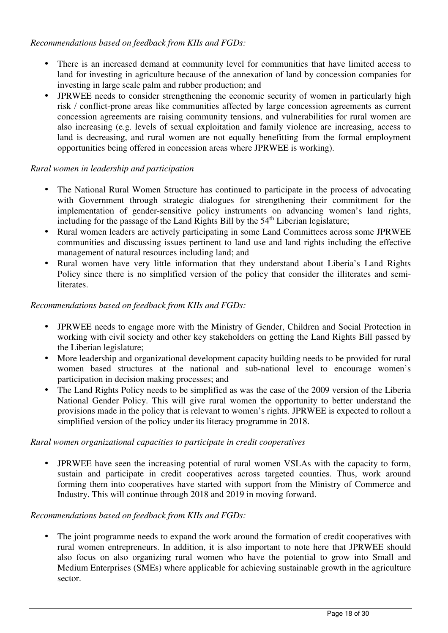## *Recommendations based on feedback from KIIs and FGDs:*

- There is an increased demand at community level for communities that have limited access to land for investing in agriculture because of the annexation of land by concession companies for investing in large scale palm and rubber production; and
- JPRWEE needs to consider strengthening the economic security of women in particularly high risk / conflict-prone areas like communities affected by large concession agreements as current concession agreements are raising community tensions, and vulnerabilities for rural women are also increasing (e.g. levels of sexual exploitation and family violence are increasing, access to land is decreasing, and rural women are not equally benefitting from the formal employment opportunities being offered in concession areas where JPRWEE is working).

# *Rural women in leadership and participation*

- The National Rural Women Structure has continued to participate in the process of advocating with Government through strategic dialogues for strengthening their commitment for the implementation of gender-sensitive policy instruments on advancing women's land rights, including for the passage of the Land Rights Bill by the  $54<sup>th</sup>$  Liberian legislature;
- Rural women leaders are actively participating in some Land Committees across some JPRWEE communities and discussing issues pertinent to land use and land rights including the effective management of natural resources including land; and
- Rural women have very little information that they understand about Liberia's Land Rights Policy since there is no simplified version of the policy that consider the illiterates and semiliterates.

# *Recommendations based on feedback from KIIs and FGDs:*

- JPRWEE needs to engage more with the Ministry of Gender. Children and Social Protection in working with civil society and other key stakeholders on getting the Land Rights Bill passed by the Liberian legislature;
- More leadership and organizational development capacity building needs to be provided for rural women based structures at the national and sub-national level to encourage women's participation in decision making processes; and
- The Land Rights Policy needs to be simplified as was the case of the 2009 version of the Liberia National Gender Policy. This will give rural women the opportunity to better understand the provisions made in the policy that is relevant to women's rights. JPRWEE is expected to rollout a simplified version of the policy under its literacy programme in 2018.

# *Rural women organizational capacities to participate in credit cooperatives*

• JPRWEE have seen the increasing potential of rural women VSLAs with the capacity to form, sustain and participate in credit cooperatives across targeted counties. Thus, work around forming them into cooperatives have started with support from the Ministry of Commerce and Industry. This will continue through 2018 and 2019 in moving forward.

# *Recommendations based on feedback from KIIs and FGDs:*

• The joint programme needs to expand the work around the formation of credit cooperatives with rural women entrepreneurs. In addition, it is also important to note here that JPRWEE should also focus on also organizing rural women who have the potential to grow into Small and Medium Enterprises (SMEs) where applicable for achieving sustainable growth in the agriculture sector.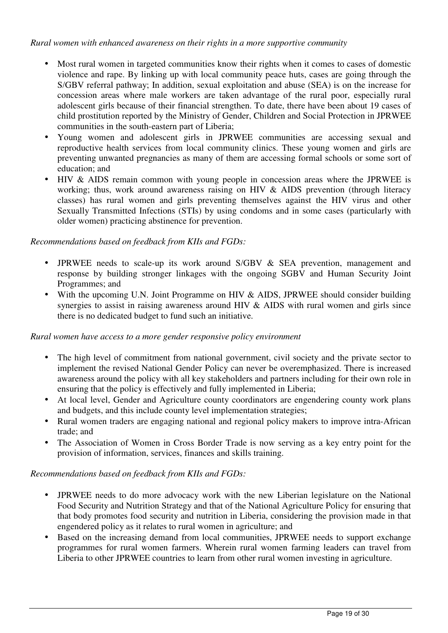*Rural women with enhanced awareness on their rights in a more supportive community* 

- Most rural women in targeted communities know their rights when it comes to cases of domestic violence and rape. By linking up with local community peace huts, cases are going through the S/GBV referral pathway; In addition, sexual exploitation and abuse (SEA) is on the increase for concession areas where male workers are taken advantage of the rural poor, especially rural adolescent girls because of their financial strengthen. To date, there have been about 19 cases of child prostitution reported by the Ministry of Gender, Children and Social Protection in JPRWEE communities in the south-eastern part of Liberia;
- Young women and adolescent girls in JPRWEE communities are accessing sexual and reproductive health services from local community clinics. These young women and girls are preventing unwanted pregnancies as many of them are accessing formal schools or some sort of education; and
- HIV & AIDS remain common with young people in concession areas where the JPRWEE is working; thus, work around awareness raising on HIV  $\&$  AIDS prevention (through literacy classes) has rural women and girls preventing themselves against the HIV virus and other Sexually Transmitted Infections (STIs) by using condoms and in some cases (particularly with older women) practicing abstinence for prevention.

## *Recommendations based on feedback from KIIs and FGDs:*

- JPRWEE needs to scale-up its work around S/GBV & SEA prevention, management and response by building stronger linkages with the ongoing SGBV and Human Security Joint Programmes; and
- With the upcoming U.N. Joint Programme on HIV & AIDS, JPRWEE should consider building synergies to assist in raising awareness around HIV & AIDS with rural women and girls since there is no dedicated budget to fund such an initiative.

## *Rural women have access to a more gender responsive policy environment*

- The high level of commitment from national government, civil society and the private sector to implement the revised National Gender Policy can never be overemphasized. There is increased awareness around the policy with all key stakeholders and partners including for their own role in ensuring that the policy is effectively and fully implemented in Liberia;
- At local level, Gender and Agriculture county coordinators are engendering county work plans and budgets, and this include county level implementation strategies;
- Rural women traders are engaging national and regional policy makers to improve intra-African trade; and
- The Association of Women in Cross Border Trade is now serving as a key entry point for the provision of information, services, finances and skills training.

## *Recommendations based on feedback from KIIs and FGDs:*

- JPRWEE needs to do more advocacy work with the new Liberian legislature on the National Food Security and Nutrition Strategy and that of the National Agriculture Policy for ensuring that that body promotes food security and nutrition in Liberia, considering the provision made in that engendered policy as it relates to rural women in agriculture; and
- Based on the increasing demand from local communities, JPRWEE needs to support exchange programmes for rural women farmers. Wherein rural women farming leaders can travel from Liberia to other JPRWEE countries to learn from other rural women investing in agriculture.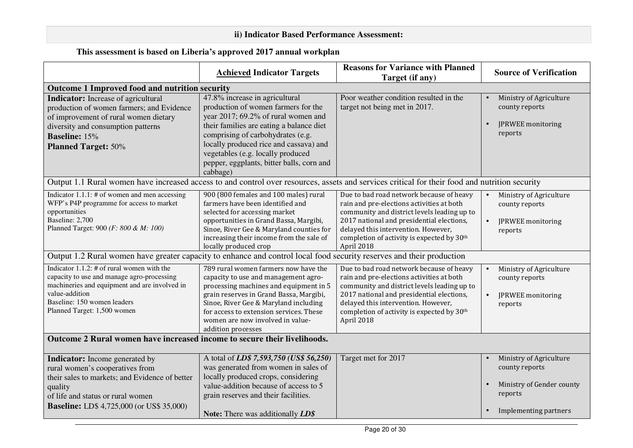# **ii) Indicator Based Performance Assessment:**

# **This assessment is based on Liberia's approved 2017 annual workplan**

|                                                                                                                                                                                                                                                                                                   | <b>Achieved Indicator Targets</b>                                                                                                                                                                                                                                                                                                     | <b>Reasons for Variance with Planned</b><br>Target (if any)                                                                                                                                                                                                                          | <b>Source of Verification</b>                                                     |  |
|---------------------------------------------------------------------------------------------------------------------------------------------------------------------------------------------------------------------------------------------------------------------------------------------------|---------------------------------------------------------------------------------------------------------------------------------------------------------------------------------------------------------------------------------------------------------------------------------------------------------------------------------------|--------------------------------------------------------------------------------------------------------------------------------------------------------------------------------------------------------------------------------------------------------------------------------------|-----------------------------------------------------------------------------------|--|
| Outcome 1 Improved food and nutrition security                                                                                                                                                                                                                                                    |                                                                                                                                                                                                                                                                                                                                       |                                                                                                                                                                                                                                                                                      |                                                                                   |  |
| <b>Indicator:</b> Increase of agricultural<br>production of women farmers; and Evidence<br>of improvement of rural women dietary<br>diversity and consumption patterns<br><b>Baseline:</b> 15%<br><b>Planned Target: 50%</b>                                                                      | 47.8% increase in agricultural<br>production of women farmers for the<br>year 2017; 69.2% of rural women and<br>their families are eating a balance diet<br>comprising of carbohydrates (e.g.<br>locally produced rice and cassava) and<br>vegetables (e.g. locally produced<br>pepper, eggplants, bitter balls, corn and<br>cabbage) | Poor weather condition resulted in the<br>target not being met in 2017.                                                                                                                                                                                                              | Ministry of Agriculture<br>county reports<br>JPRWEE monitoring<br>reports         |  |
| Output 1.1 Rural women have increased access to and control over resources, assets and services critical for their food and nutrition security                                                                                                                                                    |                                                                                                                                                                                                                                                                                                                                       |                                                                                                                                                                                                                                                                                      |                                                                                   |  |
| Indicator $1.1.1:$ # of women and men accessing<br>WFP's P4P programme for access to market<br>opportunities<br>Baseline: 2,700<br>Planned Target: 900 (F: 800 & M: 100)<br>Output 1.2 Rural women have greater capacity to enhance and control local food security reserves and their production | 900 (800 females and 100 males) rural<br>farmers have been identified and<br>selected for accessing market<br>opportunities in Grand Bassa, Margibi,<br>Sinoe, River Gee & Maryland counties for<br>increasing their income from the sale of<br>locally produced crop                                                                 | Due to bad road network because of heavy<br>rain and pre-elections activities at both<br>community and district levels leading up to<br>2017 national and presidential elections,<br>delayed this intervention. However,<br>completion of activity is expected by 30th<br>April 2018 | Ministry of Agriculture<br>county reports<br>JPRWEE monitoring<br>reports         |  |
|                                                                                                                                                                                                                                                                                                   |                                                                                                                                                                                                                                                                                                                                       |                                                                                                                                                                                                                                                                                      |                                                                                   |  |
| Indicator $1.1.2$ : # of rural women with the<br>capacity to use and manage agro-processing<br>machineries and equipment and are involved in<br>value-addition<br>Baseline: 150 women leaders<br>Planned Target: 1,500 women                                                                      | 789 rural women farmers now have the<br>capacity to use and management agro-<br>processing machines and equipment in 5<br>grain reserves in Grand Bassa, Margibi,<br>Sinoe, River Gee & Maryland including<br>for access to extension services. These<br>women are now involved in value-<br>addition processes                       | Due to bad road network because of heavy<br>rain and pre-elections activities at both<br>community and district levels leading up to<br>2017 national and presidential elections,<br>delayed this intervention. However,<br>completion of activity is expected by 30th<br>April 2018 | Ministry of Agriculture<br>county reports<br>JPRWEE monitoring<br>reports         |  |
| Outcome 2 Rural women have increased income to secure their livelihoods.                                                                                                                                                                                                                          |                                                                                                                                                                                                                                                                                                                                       |                                                                                                                                                                                                                                                                                      |                                                                                   |  |
| Indicator: Income generated by<br>rural women's cooperatives from<br>their sales to markets; and Evidence of better<br>quality<br>of life and status or rural women                                                                                                                               | A total of <i>LD\$</i> 7,593,750 ( <i>US\$</i> 56,250)<br>was generated from women in sales of<br>locally produced crops, considering<br>value-addition because of access to 5<br>grain reserves and their facilities.                                                                                                                | Target met for 2017                                                                                                                                                                                                                                                                  | Ministry of Agriculture<br>county reports<br>Ministry of Gender county<br>reports |  |
| <b>Baseline:</b> LD\$ 4,725,000 (or US\$ 35,000)                                                                                                                                                                                                                                                  | <b>Note:</b> There was additionally <b>LD\$</b>                                                                                                                                                                                                                                                                                       |                                                                                                                                                                                                                                                                                      | Implementing partners                                                             |  |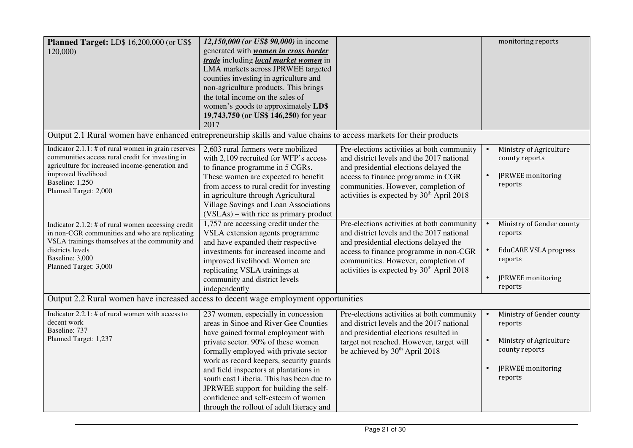| Planned Target: LD\$ 16,200,000 (or US\$<br>120,000)                                                                                                                                                                                                                                                                                                                                                                                                         | 12,150,000 (or US\$ 90,000) in income<br>generated with <b>women</b> in cross border<br>trade including local market women in<br>LMA markets across JPRWEE targeted<br>counties investing in agriculture and<br>non-agriculture products. This brings<br>the total income on the sales of<br>women's goods to approximately LD\$<br>19,743,750 (or US\$ 146,250) for year<br>2017                                                                                                                                                                                                         |                                                                                                                                                                                                                                                                                                                                                                                                                                                                                                                                                        | monitoring reports                                                                                                                                                                |
|--------------------------------------------------------------------------------------------------------------------------------------------------------------------------------------------------------------------------------------------------------------------------------------------------------------------------------------------------------------------------------------------------------------------------------------------------------------|-------------------------------------------------------------------------------------------------------------------------------------------------------------------------------------------------------------------------------------------------------------------------------------------------------------------------------------------------------------------------------------------------------------------------------------------------------------------------------------------------------------------------------------------------------------------------------------------|--------------------------------------------------------------------------------------------------------------------------------------------------------------------------------------------------------------------------------------------------------------------------------------------------------------------------------------------------------------------------------------------------------------------------------------------------------------------------------------------------------------------------------------------------------|-----------------------------------------------------------------------------------------------------------------------------------------------------------------------------------|
| Output 2.1 Rural women have enhanced entrepreneurship skills and value chains to access markets for their products                                                                                                                                                                                                                                                                                                                                           |                                                                                                                                                                                                                                                                                                                                                                                                                                                                                                                                                                                           |                                                                                                                                                                                                                                                                                                                                                                                                                                                                                                                                                        |                                                                                                                                                                                   |
| Indicator $2.1.1$ : # of rural women in grain reserves<br>communities access rural credit for investing in<br>agriculture for increased income-generation and<br>improved livelihood<br>Baseline: 1,250<br>Planned Target: 2,000<br>Indicator 2.1.2: $#$ of rural women accessing credit<br>in non-CGR communities and who are replicating<br>VSLA trainings themselves at the community and<br>districts levels<br>Baseline: 3,000<br>Planned Target: 3,000 | 2,603 rural farmers were mobilized<br>with 2,109 recruited for WFP's access<br>to finance programme in 5 CGRs.<br>These women are expected to benefit<br>from access to rural credit for investing<br>in agriculture through Agricultural<br>Village Savings and Loan Associations<br>(VSLAs) – with rice as primary product<br>1,757 are accessing credit under the<br>VSLA extension agents programme<br>and have expanded their respective<br>investments for increased income and<br>improved livelihood. Women are<br>replicating VSLA trainings at<br>community and district levels | Pre-elections activities at both community<br>and district levels and the 2017 national<br>and presidential elections delayed the<br>access to finance programme in CGR<br>communities. However, completion of<br>activities is expected by 30 <sup>th</sup> April 2018<br>Pre-elections activities at both community<br>and district levels and the 2017 national<br>and presidential elections delayed the<br>access to finance programme in non-CGR<br>communities. However, completion of<br>activities is expected by 30 <sup>th</sup> April 2018 | Ministry of Agriculture<br>county reports<br>JPRWEE monitoring<br>reports<br>Ministry of Gender county<br>reports<br><b>EduCARE VSLA progress</b><br>reports<br>JPRWEE monitoring |
|                                                                                                                                                                                                                                                                                                                                                                                                                                                              | independently                                                                                                                                                                                                                                                                                                                                                                                                                                                                                                                                                                             |                                                                                                                                                                                                                                                                                                                                                                                                                                                                                                                                                        | reports                                                                                                                                                                           |
| Output 2.2 Rural women have increased access to decent wage employment opportunities                                                                                                                                                                                                                                                                                                                                                                         |                                                                                                                                                                                                                                                                                                                                                                                                                                                                                                                                                                                           |                                                                                                                                                                                                                                                                                                                                                                                                                                                                                                                                                        |                                                                                                                                                                                   |
| Indicator $2.2.1$ : # of rural women with access to<br>decent work<br>Baseline: 737<br>Planned Target: 1,237                                                                                                                                                                                                                                                                                                                                                 | 237 women, especially in concession<br>areas in Sinoe and River Gee Counties<br>have gained formal employment with<br>private sector. 90% of these women<br>formally employed with private sector<br>work as record keepers, security guards<br>and field inspectors at plantations in<br>south east Liberia. This has been due to<br>JPRWEE support for building the self-<br>confidence and self-esteem of women<br>through the rollout of adult literacy and                                                                                                                           | Pre-elections activities at both community<br>and district levels and the 2017 national<br>and presidential elections resulted in<br>target not reached. However, target will<br>be achieved by 30 <sup>th</sup> April 2018                                                                                                                                                                                                                                                                                                                            | Ministry of Gender county<br>reports<br>Ministry of Agriculture<br>county reports<br>JPRWEE monitoring<br>reports                                                                 |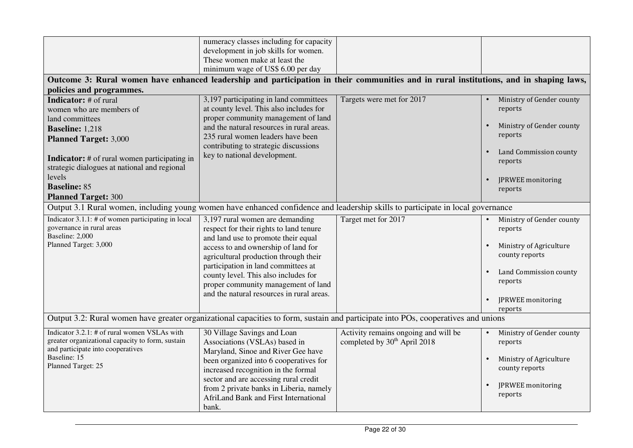| Outcome 3: Rural women have enhanced leadership and participation in their communities and in rural institutions, and in shaping laws,                                                                                                                                                                                                  | numeracy classes including for capacity<br>development in job skills for women.<br>These women make at least the<br>minimum wage of US\$ 6.00 per day                                                                                                                                                                                                                |                                                                                  |                                                                                                                                                                             |  |  |
|-----------------------------------------------------------------------------------------------------------------------------------------------------------------------------------------------------------------------------------------------------------------------------------------------------------------------------------------|----------------------------------------------------------------------------------------------------------------------------------------------------------------------------------------------------------------------------------------------------------------------------------------------------------------------------------------------------------------------|----------------------------------------------------------------------------------|-----------------------------------------------------------------------------------------------------------------------------------------------------------------------------|--|--|
| policies and programmes.<br><b>Indicator:</b> # of rural<br>women who are members of<br>land committees<br><b>Baseline: 1,218</b><br><b>Planned Target: 3,000</b><br><b>Indicator:</b> # of rural women participating in<br>strategic dialogues at national and regional<br>levels<br><b>Baseline: 85</b><br><b>Planned Target: 300</b> | 3,197 participating in land committees<br>at county level. This also includes for<br>proper community management of land<br>and the natural resources in rural areas.<br>235 rural women leaders have been<br>contributing to strategic discussions<br>key to national development.                                                                                  | Targets were met for 2017                                                        | Ministry of Gender county<br>reports<br>Ministry of Gender county<br>$\bullet$<br>reports<br>Land Commission county<br>$\bullet$<br>reports<br>JPRWEE monitoring<br>reports |  |  |
| Output 3.1 Rural women, including young women have enhanced confidence and leadership skills to participate in local governance                                                                                                                                                                                                         |                                                                                                                                                                                                                                                                                                                                                                      |                                                                                  |                                                                                                                                                                             |  |  |
| Indicator 3.1.1: # of women participating in local<br>governance in rural areas<br>Baseline: 2,000<br>Planned Target: 3,000                                                                                                                                                                                                             | 3,197 rural women are demanding<br>respect for their rights to land tenure<br>and land use to promote their equal<br>access to and ownership of land for<br>agricultural production through their<br>participation in land committees at<br>county level. This also includes for<br>proper community management of land<br>and the natural resources in rural areas. | Target met for 2017                                                              | Ministry of Gender county<br>reports<br>Ministry of Agriculture<br>county reports<br>Land Commission county<br>$\bullet$<br>reports<br>JPRWEE monitoring<br>reports         |  |  |
| Output 3.2: Rural women have greater organizational capacities to form, sustain and participate into POs, cooperatives and unions                                                                                                                                                                                                       |                                                                                                                                                                                                                                                                                                                                                                      |                                                                                  |                                                                                                                                                                             |  |  |
| Indicator 3.2.1: # of rural women VSLAs with<br>greater organizational capacity to form, sustain<br>and participate into cooperatives<br>Baseline: 15<br>Planned Target: 25                                                                                                                                                             | 30 Village Savings and Loan<br>Associations (VSLAs) based in<br>Maryland, Sinoe and River Gee have<br>been organized into 6 cooperatives for<br>increased recognition in the formal<br>sector and are accessing rural credit<br>from 2 private banks in Liberia, namely<br>AfriLand Bank and First International<br>bank.                                            | Activity remains ongoing and will be<br>completed by 30 <sup>th</sup> April 2018 | Ministry of Gender county<br>reports<br>Ministry of Agriculture<br>$\bullet$<br>county reports<br>JPRWEE monitoring<br>$\bullet$<br>reports                                 |  |  |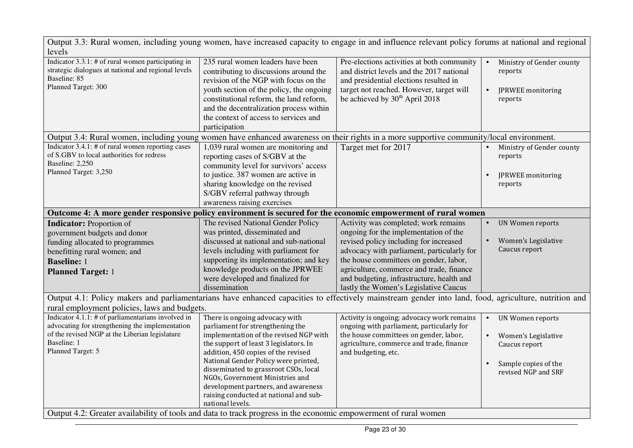| Output 3.3: Rural women, including young women, have increased capacity to engage in and influence relevant policy forums at national and regional<br>levels |                                                                                                                                                                                                                                                                                                                  |                                                                                                                                                                                                                             |           |                                                                      |  |
|--------------------------------------------------------------------------------------------------------------------------------------------------------------|------------------------------------------------------------------------------------------------------------------------------------------------------------------------------------------------------------------------------------------------------------------------------------------------------------------|-----------------------------------------------------------------------------------------------------------------------------------------------------------------------------------------------------------------------------|-----------|----------------------------------------------------------------------|--|
| Indicator $3.3.1$ : # of rural women participating in<br>strategic dialogues at national and regional levels<br>Baseline: 85<br>Planned Target: 300          | 235 rural women leaders have been<br>contributing to discussions around the<br>revision of the NGP with focus on the<br>youth section of the policy, the ongoing<br>constitutional reform, the land reform,<br>and the decentralization process within<br>the context of access to services and<br>participation | Pre-elections activities at both community<br>and district levels and the 2017 national<br>and presidential elections resulted in<br>target not reached. However, target will<br>be achieved by 30 <sup>th</sup> April 2018 |           | Ministry of Gender county<br>reports<br>JPRWEE monitoring<br>reports |  |
| Output 3.4: Rural women, including young women have enhanced awareness on their rights in a more supportive community/local environment.                     |                                                                                                                                                                                                                                                                                                                  |                                                                                                                                                                                                                             |           |                                                                      |  |
| Indicator $3.4.1$ : # of rural women reporting cases<br>of S.GBV to local authorities for redress<br>Baseline: 2,250<br>Planned Target: 3,250                | 1,039 rural women are monitoring and<br>reporting cases of S/GBV at the<br>community level for survivors' access                                                                                                                                                                                                 | Target met for 2017                                                                                                                                                                                                         |           | Ministry of Gender county<br>reports                                 |  |
|                                                                                                                                                              | to justice. 387 women are active in<br>sharing knowledge on the revised<br>S/GBV referral pathway through<br>awareness raising exercises                                                                                                                                                                         |                                                                                                                                                                                                                             |           | JPRWEE monitoring<br>reports                                         |  |
| Outcome 4: A more gender responsive policy environment is secured for the economic empowerment of rural women                                                |                                                                                                                                                                                                                                                                                                                  |                                                                                                                                                                                                                             |           |                                                                      |  |
| <b>Indicator:</b> Proportion of<br>government budgets and donor                                                                                              | The revised National Gender Policy<br>was printed, disseminated and                                                                                                                                                                                                                                              | Activity was completed; work remains<br>ongoing for the implementation of the                                                                                                                                               | $\bullet$ | UN Women reports                                                     |  |
| funding allocated to programmes<br>benefitting rural women; and<br><b>Baseline:</b> 1                                                                        | discussed at national and sub-national<br>levels including with parliament for<br>supporting its implementation; and key                                                                                                                                                                                         | revised policy including for increased<br>advocacy with parliament, particularly for<br>the house committees on gender, labor,                                                                                              |           | Women's Legislative<br>Caucus report                                 |  |
| <b>Planned Target: 1</b>                                                                                                                                     | knowledge products on the JPRWEE<br>were developed and finalized for<br>dissemination                                                                                                                                                                                                                            | agriculture, commerce and trade, finance<br>and budgeting, infrastructure, health and<br>lastly the Women's Legislative Caucus                                                                                              |           |                                                                      |  |
| Output 4.1: Policy makers and parliamentarians have enhanced capacities to effectively mainstream gender into land, food, agriculture, nutrition and         |                                                                                                                                                                                                                                                                                                                  |                                                                                                                                                                                                                             |           |                                                                      |  |
| rural employment policies, laws and budgets.                                                                                                                 |                                                                                                                                                                                                                                                                                                                  |                                                                                                                                                                                                                             |           |                                                                      |  |
| Indicator $4.1.1$ : # of parliamentarians involved in<br>advocating for strengthening the implementation                                                     | There is ongoing advocacy with<br>parliament for strengthening the                                                                                                                                                                                                                                               | Activity is ongoing; advocacy work remains<br>ongoing with parliament, particularly for                                                                                                                                     | $\bullet$ | <b>UN Women reports</b>                                              |  |
| of the revised NGP at the Liberian legislature<br>Baseline: 1<br>Planned Target: 5                                                                           | implementation of the revised NGP with<br>the support of least 3 legislators. In<br>addition, 450 copies of the revised                                                                                                                                                                                          | the house committees on gender, labor,<br>agriculture, commerce and trade, finance<br>and budgeting, etc.                                                                                                                   |           | Women's Legislative<br>Caucus report                                 |  |
|                                                                                                                                                              | National Gender Policy were printed,<br>disseminated to grassroot CSOs, local<br>NGOs, Government Ministries and<br>development partners, and awareness                                                                                                                                                          |                                                                                                                                                                                                                             | $\bullet$ | Sample copies of the<br>revised NGP and SRF                          |  |
|                                                                                                                                                              | raising conducted at national and sub-<br>national levels.                                                                                                                                                                                                                                                       |                                                                                                                                                                                                                             |           |                                                                      |  |
| Output 4.2: Greater availability of tools and data to track progress in the economic empowerment of rural women                                              |                                                                                                                                                                                                                                                                                                                  |                                                                                                                                                                                                                             |           |                                                                      |  |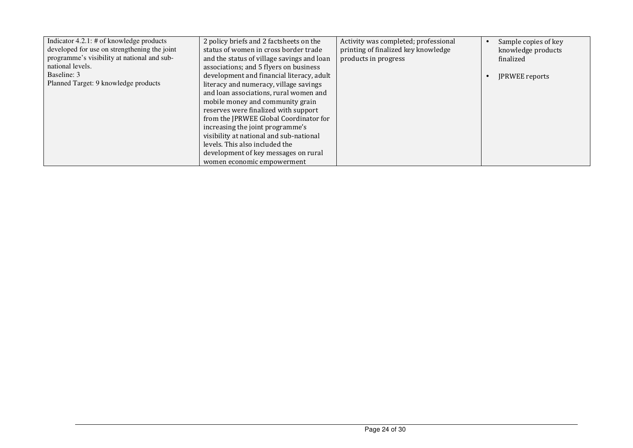| Indicator $4.2.1$ : # of knowledge products<br>developed for use on strengthening the joint | 2 policy briefs and 2 factsheets on the<br>status of women in cross border trade | Activity was completed; professional<br>printing of finalized key knowledge | Sample copies of key<br>knowledge products |
|---------------------------------------------------------------------------------------------|----------------------------------------------------------------------------------|-----------------------------------------------------------------------------|--------------------------------------------|
| programme's visibility at national and sub-                                                 | and the status of village savings and loan                                       | products in progress                                                        | finalized                                  |
| national levels.                                                                            | associations; and 5 flyers on business                                           |                                                                             |                                            |
| Baseline: 3                                                                                 | development and financial literacy, adult                                        |                                                                             | <b>JPRWEE</b> reports                      |
| Planned Target: 9 knowledge products                                                        | literacy and numeracy, village savings                                           |                                                                             |                                            |
|                                                                                             | and loan associations, rural women and                                           |                                                                             |                                            |
|                                                                                             | mobile money and community grain                                                 |                                                                             |                                            |
|                                                                                             | reserves were finalized with support                                             |                                                                             |                                            |
|                                                                                             | from the JPRWEE Global Coordinator for                                           |                                                                             |                                            |
|                                                                                             | increasing the joint programme's                                                 |                                                                             |                                            |
|                                                                                             | visibility at national and sub-national                                          |                                                                             |                                            |
|                                                                                             | levels. This also included the                                                   |                                                                             |                                            |
|                                                                                             | development of key messages on rural                                             |                                                                             |                                            |
|                                                                                             | women economic empowerment                                                       |                                                                             |                                            |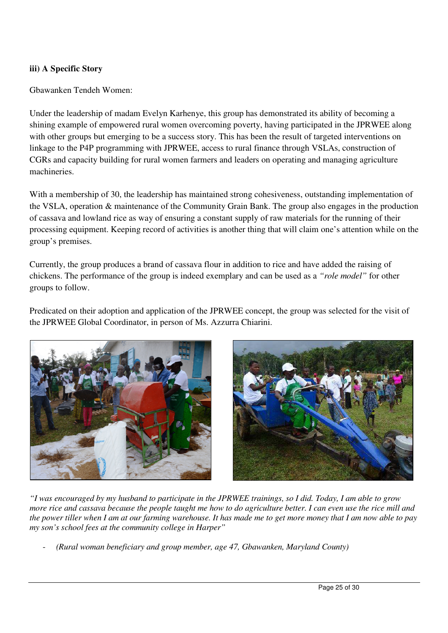## **iii) A Specific Story**

Gbawanken Tendeh Women:

Under the leadership of madam Evelyn Karhenye, this group has demonstrated its ability of becoming a shining example of empowered rural women overcoming poverty, having participated in the JPRWEE along with other groups but emerging to be a success story. This has been the result of targeted interventions on linkage to the P4P programming with JPRWEE, access to rural finance through VSLAs, construction of CGRs and capacity building for rural women farmers and leaders on operating and managing agriculture machineries.

With a membership of 30, the leadership has maintained strong cohesiveness, outstanding implementation of the VSLA, operation & maintenance of the Community Grain Bank. The group also engages in the production of cassava and lowland rice as way of ensuring a constant supply of raw materials for the running of their processing equipment. Keeping record of activities is another thing that will claim one's attention while on the group's premises.

Currently, the group produces a brand of cassava flour in addition to rice and have added the raising of chickens. The performance of the group is indeed exemplary and can be used as a *"role model"* for other groups to follow.

Predicated on their adoption and application of the JPRWEE concept, the group was selected for the visit of the JPRWEE Global Coordinator, in person of Ms. Azzurra Chiarini.





*"I was encouraged by my husband to participate in the JPRWEE trainings, so I did. Today, I am able to grow more rice and cassava because the people taught me how to do agriculture better. I can even use the rice mill and the power tiller when I am at our farming warehouse. It has made me to get more money that I am now able to pay my son's school fees at the community college in Harper"* 

- *(Rural woman beneficiary and group member, age 47, Gbawanken, Maryland County)*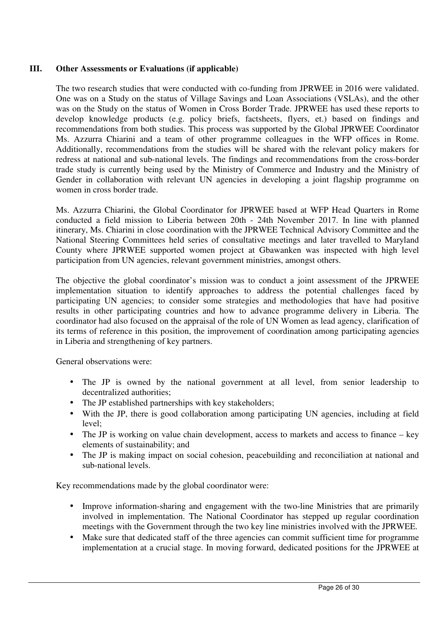## **III. Other Assessments or Evaluations (if applicable)**

The two research studies that were conducted with co-funding from JPRWEE in 2016 were validated. One was on a Study on the status of Village Savings and Loan Associations (VSLAs), and the other was on the Study on the status of Women in Cross Border Trade. JPRWEE has used these reports to develop knowledge products (e.g. policy briefs, factsheets, flyers, et.) based on findings and recommendations from both studies. This process was supported by the Global JPRWEE Coordinator Ms. Azzurra Chiarini and a team of other programme colleagues in the WFP offices in Rome. Additionally, recommendations from the studies will be shared with the relevant policy makers for redress at national and sub-national levels. The findings and recommendations from the cross-border trade study is currently being used by the Ministry of Commerce and Industry and the Ministry of Gender in collaboration with relevant UN agencies in developing a joint flagship programme on women in cross border trade.

Ms. Azzurra Chiarini, the Global Coordinator for JPRWEE based at WFP Head Quarters in Rome conducted a field mission to Liberia between 20th - 24th November 2017. In line with planned itinerary, Ms. Chiarini in close coordination with the JPRWEE Technical Advisory Committee and the National Steering Committees held series of consultative meetings and later travelled to Maryland County where JPRWEE supported women project at Gbawanken was inspected with high level participation from UN agencies, relevant government ministries, amongst others.

The objective the global coordinator's mission was to conduct a joint assessment of the JPRWEE implementation situation to identify approaches to address the potential challenges faced by participating UN agencies; to consider some strategies and methodologies that have had positive results in other participating countries and how to advance programme delivery in Liberia. The coordinator had also focused on the appraisal of the role of UN Women as lead agency, clarification of its terms of reference in this position, the improvement of coordination among participating agencies in Liberia and strengthening of key partners.

General observations were:

- The JP is owned by the national government at all level, from senior leadership to decentralized authorities;
- The JP established partnerships with key stakeholders;
- With the JP, there is good collaboration among participating UN agencies, including at field level;
- The JP is working on value chain development, access to markets and access to finance key elements of sustainability; and
- The JP is making impact on social cohesion, peacebuilding and reconciliation at national and sub-national levels.

Key recommendations made by the global coordinator were:

- Improve information-sharing and engagement with the two-line Ministries that are primarily involved in implementation. The National Coordinator has stepped up regular coordination meetings with the Government through the two key line ministries involved with the JPRWEE.
- Make sure that dedicated staff of the three agencies can commit sufficient time for programme implementation at a crucial stage. In moving forward, dedicated positions for the JPRWEE at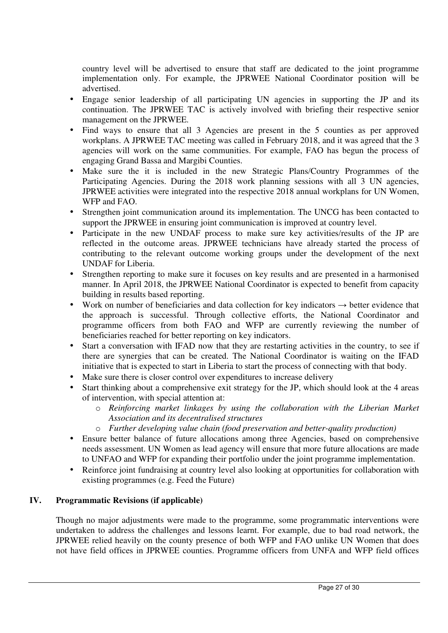country level will be advertised to ensure that staff are dedicated to the joint programme implementation only. For example, the JPRWEE National Coordinator position will be advertised.

- Engage senior leadership of all participating UN agencies in supporting the JP and its continuation. The JPRWEE TAC is actively involved with briefing their respective senior management on the JPRWEE.
- Find ways to ensure that all 3 Agencies are present in the 5 counties as per approved workplans. A JPRWEE TAC meeting was called in February 2018, and it was agreed that the 3 agencies will work on the same communities. For example, FAO has begun the process of engaging Grand Bassa and Margibi Counties.
- Make sure the it is included in the new Strategic Plans/Country Programmes of the Participating Agencies. During the 2018 work planning sessions with all 3 UN agencies, JPRWEE activities were integrated into the respective 2018 annual workplans for UN Women, WFP and FAO.
- Strengthen joint communication around its implementation. The UNCG has been contacted to support the JPRWEE in ensuring joint communication is improved at country level.
- Participate in the new UNDAF process to make sure key activities/results of the JP are reflected in the outcome areas. JPRWEE technicians have already started the process of contributing to the relevant outcome working groups under the development of the next UNDAF for Liberia.
- Strengthen reporting to make sure it focuses on key results and are presented in a harmonised manner. In April 2018, the JPRWEE National Coordinator is expected to benefit from capacity building in results based reporting.
- Work on number of beneficiaries and data collection for key indicators  $\rightarrow$  better evidence that the approach is successful. Through collective efforts, the National Coordinator and programme officers from both FAO and WFP are currently reviewing the number of beneficiaries reached for better reporting on key indicators.
- Start a conversation with IFAD now that they are restarting activities in the country, to see if there are synergies that can be created. The National Coordinator is waiting on the IFAD initiative that is expected to start in Liberia to start the process of connecting with that body.
- Make sure there is closer control over expenditures to increase delivery
- Start thinking about a comprehensive exit strategy for the JP, which should look at the 4 areas of intervention, with special attention at:
	- o *Reinforcing market linkages by using the collaboration with the Liberian Market Association and its decentralised structures*
	- o *Further developing value chain (food preservation and better-quality production)*
- Ensure better balance of future allocations among three Agencies, based on comprehensive needs assessment. UN Women as lead agency will ensure that more future allocations are made to UNFAO and WFP for expanding their portfolio under the joint programme implementation.
- Reinforce joint fundraising at country level also looking at opportunities for collaboration with existing programmes (e.g. Feed the Future)

# **IV. Programmatic Revisions (if applicable)**

Though no major adjustments were made to the programme, some programmatic interventions were undertaken to address the challenges and lessons learnt. For example, due to bad road network, the JPRWEE relied heavily on the county presence of both WFP and FAO unlike UN Women that does not have field offices in JPRWEE counties. Programme officers from UNFA and WFP field offices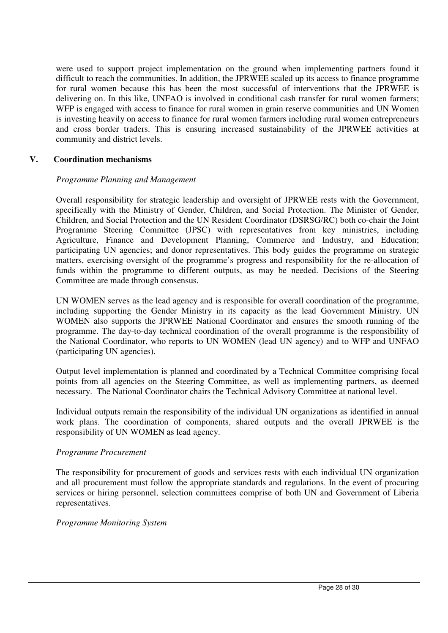were used to support project implementation on the ground when implementing partners found it difficult to reach the communities. In addition, the JPRWEE scaled up its access to finance programme for rural women because this has been the most successful of interventions that the JPRWEE is delivering on. In this like, UNFAO is involved in conditional cash transfer for rural women farmers; WFP is engaged with access to finance for rural women in grain reserve communities and UN Women is investing heavily on access to finance for rural women farmers including rural women entrepreneurs and cross border traders. This is ensuring increased sustainability of the JPRWEE activities at community and district levels.

#### **V. Coordination mechanisms**

#### *Programme Planning and Management*

Overall responsibility for strategic leadership and oversight of JPRWEE rests with the Government, specifically with the Ministry of Gender, Children, and Social Protection. The Minister of Gender, Children, and Social Protection and the UN Resident Coordinator (DSRSG/RC) both co-chair the Joint Programme Steering Committee (JPSC) with representatives from key ministries, including Agriculture, Finance and Development Planning, Commerce and Industry, and Education; participating UN agencies; and donor representatives. This body guides the programme on strategic matters, exercising oversight of the programme's progress and responsibility for the re-allocation of funds within the programme to different outputs, as may be needed. Decisions of the Steering Committee are made through consensus.

UN WOMEN serves as the lead agency and is responsible for overall coordination of the programme, including supporting the Gender Ministry in its capacity as the lead Government Ministry. UN WOMEN also supports the JPRWEE National Coordinator and ensures the smooth running of the programme. The day-to-day technical coordination of the overall programme is the responsibility of the National Coordinator, who reports to UN WOMEN (lead UN agency) and to WFP and UNFAO (participating UN agencies).

Output level implementation is planned and coordinated by a Technical Committee comprising focal points from all agencies on the Steering Committee, as well as implementing partners, as deemed necessary. The National Coordinator chairs the Technical Advisory Committee at national level.

Individual outputs remain the responsibility of the individual UN organizations as identified in annual work plans. The coordination of components, shared outputs and the overall JPRWEE is the responsibility of UN WOMEN as lead agency.

#### *Programme Procurement*

The responsibility for procurement of goods and services rests with each individual UN organization and all procurement must follow the appropriate standards and regulations. In the event of procuring services or hiring personnel, selection committees comprise of both UN and Government of Liberia representatives.

#### *Programme Monitoring System*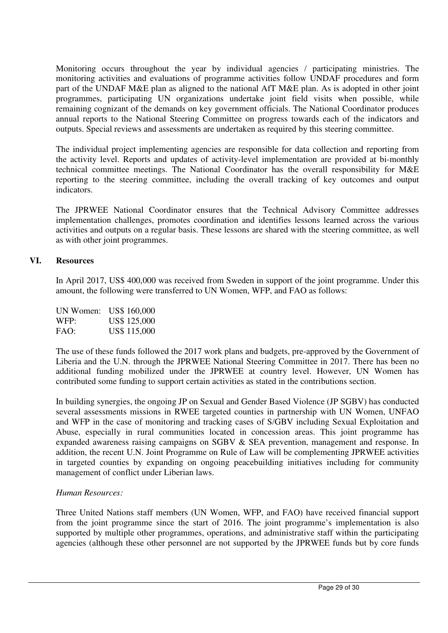Monitoring occurs throughout the year by individual agencies / participating ministries. The monitoring activities and evaluations of programme activities follow UNDAF procedures and form part of the UNDAF M&E plan as aligned to the national AfT M&E plan. As is adopted in other joint programmes, participating UN organizations undertake joint field visits when possible, while remaining cognizant of the demands on key government officials. The National Coordinator produces annual reports to the National Steering Committee on progress towards each of the indicators and outputs. Special reviews and assessments are undertaken as required by this steering committee.

The individual project implementing agencies are responsible for data collection and reporting from the activity level. Reports and updates of activity-level implementation are provided at bi-monthly technical committee meetings. The National Coordinator has the overall responsibility for M&E reporting to the steering committee, including the overall tracking of key outcomes and output indicators.

The JPRWEE National Coordinator ensures that the Technical Advisory Committee addresses implementation challenges, promotes coordination and identifies lessons learned across the various activities and outputs on a regular basis. These lessons are shared with the steering committee, as well as with other joint programmes.

#### **VI. Resources**

In April 2017, US\$ 400,000 was received from Sweden in support of the joint programme. Under this amount, the following were transferred to UN Women, WFP, and FAO as follows:

| UN Women: | US\$ 160,000 |
|-----------|--------------|
| WFP:      | US\$ 125,000 |
| FAO:      | US\$ 115,000 |

The use of these funds followed the 2017 work plans and budgets, pre-approved by the Government of Liberia and the U.N. through the JPRWEE National Steering Committee in 2017. There has been no additional funding mobilized under the JPRWEE at country level. However, UN Women has contributed some funding to support certain activities as stated in the contributions section.

In building synergies, the ongoing JP on Sexual and Gender Based Violence (JP SGBV) has conducted several assessments missions in RWEE targeted counties in partnership with UN Women, UNFAO and WFP in the case of monitoring and tracking cases of S/GBV including Sexual Exploitation and Abuse, especially in rural communities located in concession areas. This joint programme has expanded awareness raising campaigns on SGBV & SEA prevention, management and response. In addition, the recent U.N. Joint Programme on Rule of Law will be complementing JPRWEE activities in targeted counties by expanding on ongoing peacebuilding initiatives including for community management of conflict under Liberian laws.

#### *Human Resources:*

Three United Nations staff members (UN Women, WFP, and FAO) have received financial support from the joint programme since the start of 2016. The joint programme's implementation is also supported by multiple other programmes, operations, and administrative staff within the participating agencies (although these other personnel are not supported by the JPRWEE funds but by core funds